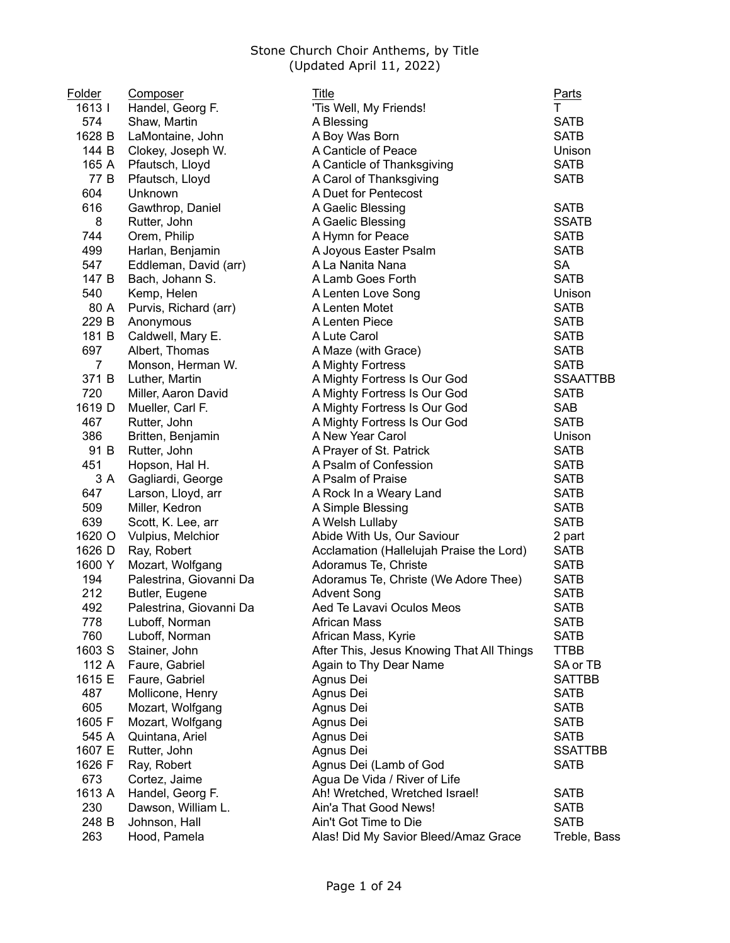| Folder         | Composer                | Title                                     | <u>Parts</u>    |
|----------------|-------------------------|-------------------------------------------|-----------------|
| 1613           | Handel, Georg F.        | 'Tis Well, My Friends!                    | т               |
| 574            | Shaw, Martin            | A Blessing                                | <b>SATB</b>     |
| 1628 B         | LaMontaine, John        | A Boy Was Born                            | <b>SATB</b>     |
| 144 B          | Clokey, Joseph W.       | A Canticle of Peace                       | Unison          |
| 165 A          | Pfautsch, Lloyd         | A Canticle of Thanksgiving                | <b>SATB</b>     |
| 77 B           | Pfautsch, Lloyd         | A Carol of Thanksgiving                   | <b>SATB</b>     |
| 604            | Unknown                 | A Duet for Pentecost                      |                 |
| 616            | Gawthrop, Daniel        | A Gaelic Blessing                         | <b>SATB</b>     |
| 8              | Rutter, John            | A Gaelic Blessing                         | <b>SSATB</b>    |
| 744            | Orem, Philip            | A Hymn for Peace                          | <b>SATB</b>     |
| 499            | Harlan, Benjamin        | A Joyous Easter Psalm                     | <b>SATB</b>     |
| 547            | Eddleman, David (arr)   | A La Nanita Nana                          | <b>SA</b>       |
| 147 B          | Bach, Johann S.         | A Lamb Goes Forth                         | <b>SATB</b>     |
| 540            | Kemp, Helen             | A Lenten Love Song                        | Unison          |
| 80 A           | Purvis, Richard (arr)   | A Lenten Motet                            | <b>SATB</b>     |
| 229 B          | Anonymous               | A Lenten Piece                            | <b>SATB</b>     |
| 181 B          | Caldwell, Mary E.       | A Lute Carol                              | <b>SATB</b>     |
| 697            | Albert, Thomas          | A Maze (with Grace)                       | <b>SATB</b>     |
| $\overline{7}$ | Monson, Herman W.       | A Mighty Fortress                         | <b>SATB</b>     |
| 371 B          | Luther, Martin          | A Mighty Fortress Is Our God              | <b>SSAATTBB</b> |
| 720            | Miller, Aaron David     | A Mighty Fortress Is Our God              | <b>SATB</b>     |
| 1619 D         | Mueller, Carl F.        | A Mighty Fortress Is Our God              | <b>SAB</b>      |
| 467            | Rutter, John            | A Mighty Fortress Is Our God              | <b>SATB</b>     |
| 386            | Britten, Benjamin       | A New Year Carol                          | Unison          |
| 91 B           | Rutter, John            | A Prayer of St. Patrick                   | <b>SATB</b>     |
| 451            | Hopson, Hal H.          | A Psalm of Confession                     | <b>SATB</b>     |
| 3 A            | Gagliardi, George       | A Psalm of Praise                         | <b>SATB</b>     |
| 647            | Larson, Lloyd, arr      | A Rock In a Weary Land                    | <b>SATB</b>     |
| 509            | Miller, Kedron          | A Simple Blessing                         | <b>SATB</b>     |
| 639            | Scott, K. Lee, arr      | A Welsh Lullaby                           | <b>SATB</b>     |
| 1620 O         | Vulpius, Melchior       | Abide With Us, Our Saviour                | 2 part          |
| 1626 D         | Ray, Robert             | Acclamation (Hallelujah Praise the Lord)  | <b>SATB</b>     |
| 1600 Y         | Mozart, Wolfgang        | Adoramus Te, Christe                      | <b>SATB</b>     |
| 194            | Palestrina, Giovanni Da | Adoramus Te, Christe (We Adore Thee)      | <b>SATB</b>     |
| 212            | Butler, Eugene          | <b>Advent Song</b>                        | <b>SATB</b>     |
| 492            | Palestrina, Giovanni Da | Aed Te Lavavi Oculos Meos                 | <b>SATB</b>     |
| 778            | Luboff, Norman          | African Mass                              | SATB            |
| 760            | Luboff, Norman          | African Mass, Kyrie                       | <b>SATB</b>     |
| 1603 S         | Stainer, John           | After This, Jesus Knowing That All Things | <b>TTBB</b>     |
| 112 A          | Faure, Gabriel          | Again to Thy Dear Name                    | SA or TB        |
| 1615 E         | Faure, Gabriel          | Agnus Dei                                 | <b>SATTBB</b>   |
| 487            | Mollicone, Henry        | Agnus Dei                                 | <b>SATB</b>     |
| 605            | Mozart, Wolfgang        | Agnus Dei                                 | <b>SATB</b>     |
| 1605 F         | Mozart, Wolfgang        | Agnus Dei                                 | <b>SATB</b>     |
| 545 A          | Quintana, Ariel         | Agnus Dei                                 | <b>SATB</b>     |
| 1607 E         | Rutter, John            | Agnus Dei                                 | <b>SSATTBB</b>  |
| 1626 F         | Ray, Robert             | Agnus Dei (Lamb of God                    | <b>SATB</b>     |
| 673            | Cortez, Jaime           | Agua De Vida / River of Life              |                 |
| 1613 A         | Handel, Georg F.        | Ah! Wretched, Wretched Israel!            | <b>SATB</b>     |
| 230            | Dawson, William L.      | Ain'a That Good News!                     | <b>SATB</b>     |
| 248 B          | Johnson, Hall           | Ain't Got Time to Die                     | <b>SATB</b>     |
| 263            | Hood, Pamela            | Alas! Did My Savior Bleed/Amaz Grace      | Treble, Bass    |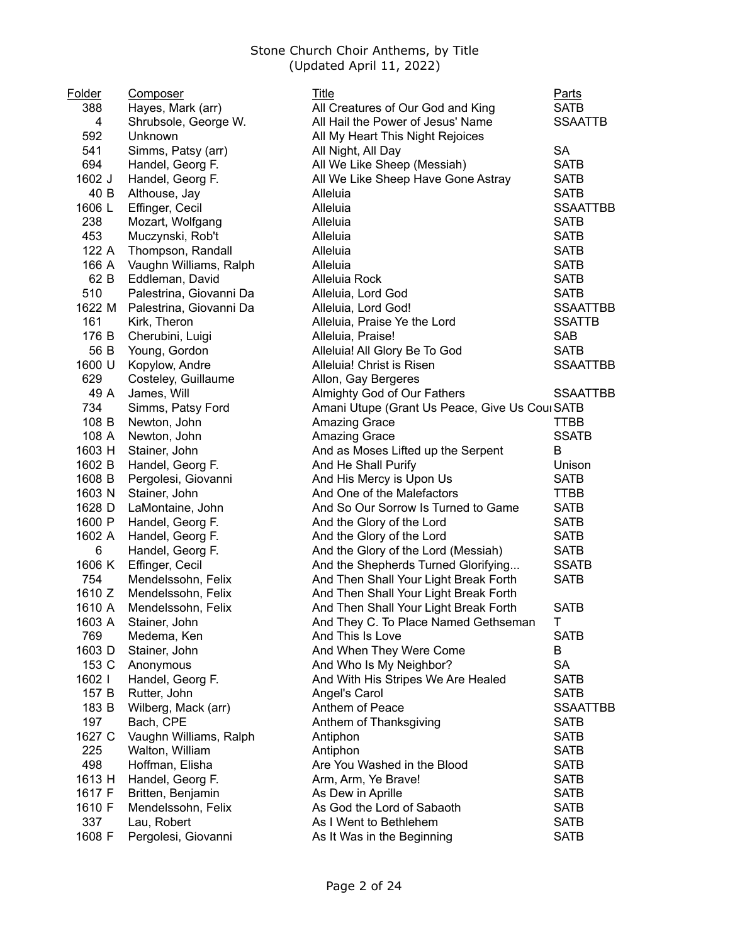| Folder | Composer                | <b>Title</b>                                   | <b>Parts</b>    |
|--------|-------------------------|------------------------------------------------|-----------------|
| 388    | Hayes, Mark (arr)       | All Creatures of Our God and King              | <b>SATB</b>     |
| 4      | Shrubsole, George W.    | All Hail the Power of Jesus' Name              | <b>SSAATTB</b>  |
| 592    | Unknown                 | All My Heart This Night Rejoices               |                 |
| 541    | Simms, Patsy (arr)      | All Night, All Day                             | <b>SA</b>       |
| 694    | Handel, Georg F.        | All We Like Sheep (Messiah)                    | <b>SATB</b>     |
| 1602 J | Handel, Georg F.        | All We Like Sheep Have Gone Astray             | <b>SATB</b>     |
| 40 B   | Althouse, Jay           | Alleluia                                       | <b>SATB</b>     |
| 1606L  | Effinger, Cecil         | Alleluia                                       | <b>SSAATTBB</b> |
| 238    | Mozart, Wolfgang        | Alleluia                                       | <b>SATB</b>     |
| 453    | Muczynski, Rob't        | Alleluia                                       | <b>SATB</b>     |
| 122 A  | Thompson, Randall       | Alleluia                                       | <b>SATB</b>     |
| 166 A  | Vaughn Williams, Ralph  | Alleluia                                       | <b>SATB</b>     |
| 62 B   | Eddleman, David         | Alleluia Rock                                  | <b>SATB</b>     |
| 510    | Palestrina, Giovanni Da | Alleluia, Lord God                             | <b>SATB</b>     |
| 1622 M | Palestrina, Giovanni Da | Alleluia, Lord God!                            | <b>SSAATTBB</b> |
| 161    | Kirk, Theron            | Alleluia, Praise Ye the Lord                   | <b>SSATTB</b>   |
| 176 B  | Cherubini, Luigi        | Alleluia, Praise!                              | <b>SAB</b>      |
| 56 B   | Young, Gordon           | Alleluia! All Glory Be To God                  | <b>SATB</b>     |
| 1600 U | Kopylow, Andre          | Alleluia! Christ is Risen                      | <b>SSAATTBB</b> |
| 629    | Costeley, Guillaume     | Allon, Gay Bergeres                            |                 |
| 49 A   | James, Will             | Almighty God of Our Fathers                    | <b>SSAATTBB</b> |
| 734    | Simms, Patsy Ford       | Amani Utupe (Grant Us Peace, Give Us Coul SATB |                 |
| 108 B  | Newton, John            | <b>Amazing Grace</b>                           | TTBB            |
| 108 A  | Newton, John            | Amazing Grace                                  | <b>SSATB</b>    |
| 1603 H | Stainer, John           | And as Moses Lifted up the Serpent             | B               |
| 1602 B | Handel, Georg F.        | And He Shall Purify                            | Unison          |
| 1608 B | Pergolesi, Giovanni     | And His Mercy is Upon Us                       | <b>SATB</b>     |
| 1603 N | Stainer, John           | And One of the Malefactors                     | <b>TTBB</b>     |
| 1628 D | LaMontaine, John        | And So Our Sorrow Is Turned to Game            | <b>SATB</b>     |
| 1600 P | Handel, Georg F.        | And the Glory of the Lord                      | <b>SATB</b>     |
| 1602 A | Handel, Georg F.        | And the Glory of the Lord                      | <b>SATB</b>     |
| 6      | Handel, Georg F.        | And the Glory of the Lord (Messiah)            | <b>SATB</b>     |
| 1606 K | Effinger, Cecil         | And the Shepherds Turned Glorifying            | <b>SSATB</b>    |
| 754    | Mendelssohn, Felix      | And Then Shall Your Light Break Forth          | <b>SATB</b>     |
| 1610 Z | Mendelssohn, Felix      | And Then Shall Your Light Break Forth          |                 |
| 1610 A | Mendelssohn, Felix      | And Then Shall Your Light Break Forth          | <b>SATB</b>     |
| 1603 A | Stainer, John           | And They C. To Place Named Gethseman           | L               |
| 769    | Medema, Ken             | And This Is Love                               | <b>SATB</b>     |
| 1603 D | Stainer, John           | And When They Were Come                        | B               |
| 153 C  | Anonymous               | And Who Is My Neighbor?                        | <b>SA</b>       |
| 1602   | Handel, Georg F.        | And With His Stripes We Are Healed             | <b>SATB</b>     |
| 157 B  | Rutter, John            | Angel's Carol                                  | <b>SATB</b>     |
| 183 B  | Wilberg, Mack (arr)     | Anthem of Peace                                | <b>SSAATTBB</b> |
| 197    | Bach, CPE               | Anthem of Thanksgiving                         | <b>SATB</b>     |
| 1627 C | Vaughn Williams, Ralph  | Antiphon                                       | <b>SATB</b>     |
| 225    | Walton, William         | Antiphon                                       | <b>SATB</b>     |
| 498    | Hoffman, Elisha         | Are You Washed in the Blood                    | <b>SATB</b>     |
| 1613 H | Handel, Georg F.        | Arm, Arm, Ye Brave!                            | <b>SATB</b>     |
| 1617 F | Britten, Benjamin       | As Dew in Aprille                              | <b>SATB</b>     |
| 1610 F | Mendelssohn, Felix      | As God the Lord of Sabaoth                     | <b>SATB</b>     |
| 337    | Lau, Robert             | As I Went to Bethlehem                         | <b>SATB</b>     |
| 1608 F | Pergolesi, Giovanni     | As It Was in the Beginning                     | <b>SATB</b>     |
|        |                         |                                                |                 |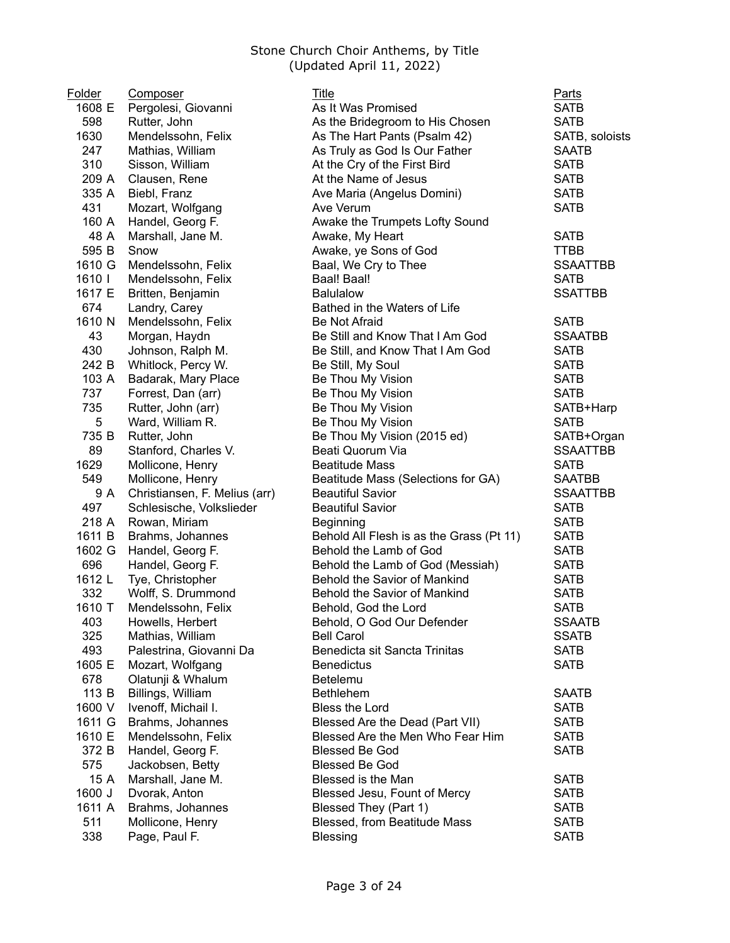| Folder | Composer                                 | Title                                    | <b>Parts</b>    |
|--------|------------------------------------------|------------------------------------------|-----------------|
| 1608 E | Pergolesi, Giovanni                      | As It Was Promised                       | <b>SATB</b>     |
| 598    | Rutter, John                             | As the Bridegroom to His Chosen          | <b>SATB</b>     |
| 1630   | Mendelssohn, Felix                       | As The Hart Pants (Psalm 42)             | SATB, soloists  |
| 247    | Mathias, William                         | As Truly as God Is Our Father            | <b>SAATB</b>    |
| 310    | Sisson, William                          | At the Cry of the First Bird             | <b>SATB</b>     |
| 209 A  | Clausen, Rene                            | At the Name of Jesus                     | <b>SATB</b>     |
| 335 A  | Biebl, Franz                             | Ave Maria (Angelus Domini)               | <b>SATB</b>     |
| 431    | Mozart, Wolfgang                         | Ave Verum                                | <b>SATB</b>     |
| 160 A  | Handel, Georg F.                         | Awake the Trumpets Lofty Sound           |                 |
| 48 A   | Marshall, Jane M.                        | Awake, My Heart                          | <b>SATB</b>     |
| 595 B  | Snow                                     | Awake, ye Sons of God                    | <b>TTBB</b>     |
| 1610 G | Mendelssohn, Felix                       | Baal, We Cry to Thee                     | <b>SSAATTBB</b> |
| 1610   | Mendelssohn, Felix                       | Baal! Baal!                              | <b>SATB</b>     |
| 1617 E | Britten, Benjamin                        | <b>Balulalow</b>                         | <b>SSATTBB</b>  |
| 674    | Landry, Carey                            | Bathed in the Waters of Life             |                 |
| 1610 N | Mendelssohn, Felix                       | <b>Be Not Afraid</b>                     | <b>SATB</b>     |
| 43     | Morgan, Haydn                            | Be Still and Know That I Am God          | <b>SSAATBB</b>  |
| 430    | Johnson, Ralph M.                        | Be Still, and Know That I Am God         | <b>SATB</b>     |
| 242 B  | Whitlock, Percy W.                       | Be Still, My Soul                        | <b>SATB</b>     |
| 103 A  | Badarak, Mary Place                      | Be Thou My Vision                        | <b>SATB</b>     |
| 737    |                                          | Be Thou My Vision                        | <b>SATB</b>     |
| 735    | Forrest, Dan (arr)<br>Rutter, John (arr) |                                          |                 |
|        |                                          | Be Thou My Vision                        | SATB+Harp       |
| 5      | Ward, William R.                         | Be Thou My Vision                        | <b>SATB</b>     |
| 735 B  | Rutter, John                             | Be Thou My Vision (2015 ed)              | SATB+Organ      |
| 89     | Stanford, Charles V.                     | Beati Quorum Via                         | <b>SSAATTBB</b> |
| 1629   | Mollicone, Henry                         | <b>Beatitude Mass</b>                    | <b>SATB</b>     |
| 549    | Mollicone, Henry                         | Beatitude Mass (Selections for GA)       | <b>SAATBB</b>   |
| 9 A    | Christiansen, F. Melius (arr)            | <b>Beautiful Savior</b>                  | <b>SSAATTBB</b> |
| 497    | Schlesische, Volkslieder                 | <b>Beautiful Savior</b>                  | <b>SATB</b>     |
| 218 A  | Rowan, Miriam                            | <b>Beginning</b>                         | <b>SATB</b>     |
| 1611 B | Brahms, Johannes                         | Behold All Flesh is as the Grass (Pt 11) | <b>SATB</b>     |
| 1602 G | Handel, Georg F.                         | Behold the Lamb of God                   | <b>SATB</b>     |
| 696    | Handel, Georg F.                         | Behold the Lamb of God (Messiah)         | <b>SATB</b>     |
| 1612 L | Tye, Christopher                         | Behold the Savior of Mankind             | <b>SATB</b>     |
| 332    | Wolff, S. Drummond                       | Behold the Savior of Mankind             | <b>SATB</b>     |
| 1610 T | Mendelssohn, Felix                       | Behold, God the Lord                     | <b>SATB</b>     |
| 403    | Howells, Herbert                         | Behold, O God Our Defender               | <b>SSAATB</b>   |
| 325    | Mathias, William                         | <b>Bell Carol</b>                        | <b>SSATB</b>    |
| 493    | Palestrina, Giovanni Da                  | Benedicta sit Sancta Trinitas            | <b>SATB</b>     |
| 1605 E | Mozart, Wolfgang                         | <b>Benedictus</b>                        | <b>SATB</b>     |
| 678    | Olatunji & Whalum                        | Betelemu                                 |                 |
| 113 B  | Billings, William                        | <b>Bethlehem</b>                         | <b>SAATB</b>    |
| 1600 V | Ivenoff, Michail I.                      | <b>Bless the Lord</b>                    | <b>SATB</b>     |
| 1611 G | Brahms, Johannes                         | Blessed Are the Dead (Part VII)          | <b>SATB</b>     |
| 1610 E | Mendelssohn, Felix                       | Blessed Are the Men Who Fear Him         | <b>SATB</b>     |
| 372 B  | Handel, Georg F.                         | <b>Blessed Be God</b>                    | <b>SATB</b>     |
| 575    | Jackobsen, Betty                         | <b>Blessed Be God</b>                    |                 |
| 15 A   | Marshall, Jane M.                        | Blessed is the Man                       | <b>SATB</b>     |
| 1600 J | Dvorak, Anton                            | Blessed Jesu, Fount of Mercy             | <b>SATB</b>     |
| 1611 A | Brahms, Johannes                         | Blessed They (Part 1)                    | <b>SATB</b>     |
| 511    | Mollicone, Henry                         | Blessed, from Beatitude Mass             | <b>SATB</b>     |
| 338    | Page, Paul F.                            | <b>Blessing</b>                          | <b>SATB</b>     |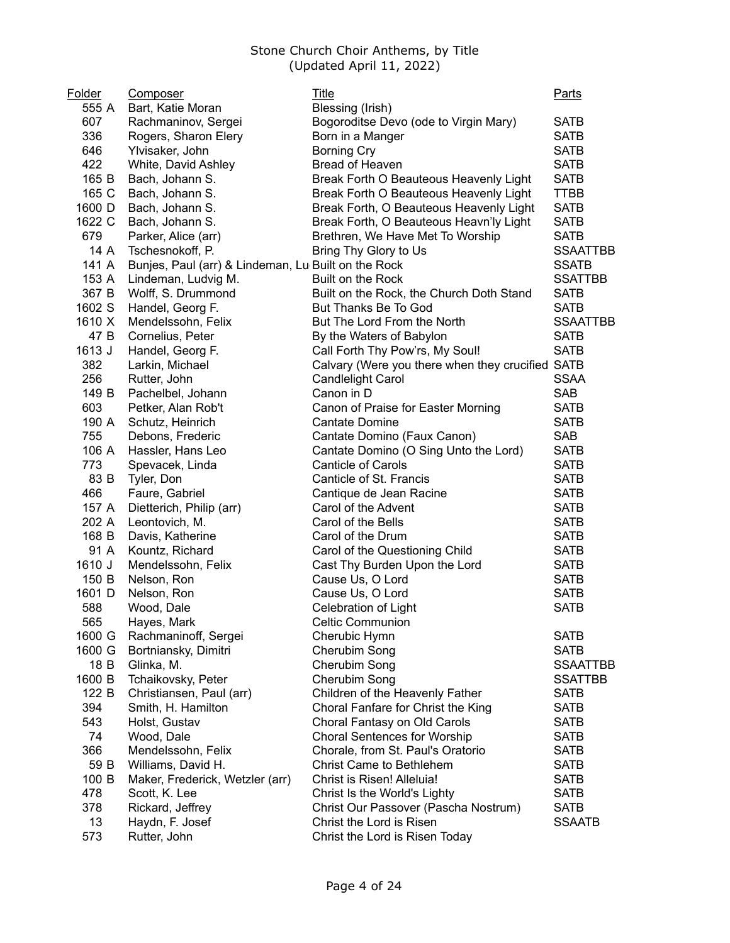| Folder<br>555 A | Composer                                            | Title                                            | <b>Parts</b>    |
|-----------------|-----------------------------------------------------|--------------------------------------------------|-----------------|
| 607             | Bart, Katie Moran                                   | Blessing (Irish)                                 | <b>SATB</b>     |
| 336             | Rachmaninov, Sergei                                 | Bogoroditse Devo (ode to Virgin Mary)            | <b>SATB</b>     |
|                 | Rogers, Sharon Elery                                | Born in a Manger                                 |                 |
| 646             | Ylvisaker, John                                     | <b>Borning Cry</b><br>Bread of Heaven            | <b>SATB</b>     |
| 422             | White, David Ashley                                 |                                                  | <b>SATB</b>     |
| 165 B           | Bach, Johann S.                                     | Break Forth O Beauteous Heavenly Light           | <b>SATB</b>     |
| 165 C           | Bach, Johann S.                                     | Break Forth O Beauteous Heavenly Light           | <b>TTBB</b>     |
| 1600 D          | Bach, Johann S.                                     | Break Forth, O Beauteous Heavenly Light          | <b>SATB</b>     |
| 1622 C          | Bach, Johann S.                                     | Break Forth, O Beauteous Heavn'ly Light          | <b>SATB</b>     |
| 679             | Parker, Alice (arr)                                 | Brethren, We Have Met To Worship                 | <b>SATB</b>     |
| 14 A            | Tschesnokoff, P.                                    | Bring Thy Glory to Us                            | <b>SSAATTBB</b> |
| 141 A           | Bunjes, Paul (arr) & Lindeman, Lu Built on the Rock |                                                  | <b>SSATB</b>    |
| 153 A           | Lindeman, Ludvig M.                                 | Built on the Rock                                | <b>SSATTBB</b>  |
| 367 B           | Wolff, S. Drummond                                  | Built on the Rock, the Church Doth Stand         | <b>SATB</b>     |
| 1602 S          | Handel, Georg F.                                    | But Thanks Be To God                             | <b>SATB</b>     |
| 1610 X          | Mendelssohn, Felix                                  | But The Lord From the North                      | <b>SSAATTBB</b> |
| 47 B            | Cornelius, Peter                                    | By the Waters of Babylon                         | <b>SATB</b>     |
| 1613 J          | Handel, Georg F.                                    | Call Forth Thy Pow'rs, My Soul!                  | <b>SATB</b>     |
| 382             | Larkin, Michael                                     | Calvary (Were you there when they crucified SATB |                 |
| 256             | Rutter, John                                        | <b>Candlelight Carol</b>                         | <b>SSAA</b>     |
| 149 B           | Pachelbel, Johann                                   | Canon in D                                       | <b>SAB</b>      |
| 603             | Petker, Alan Rob't                                  | Canon of Praise for Easter Morning               | <b>SATB</b>     |
| 190 A           | Schutz, Heinrich                                    | Cantate Domine                                   | <b>SATB</b>     |
| 755             | Debons, Frederic                                    | Cantate Domino (Faux Canon)                      | <b>SAB</b>      |
| 106 A           | Hassler, Hans Leo                                   | Cantate Domino (O Sing Unto the Lord)            | <b>SATB</b>     |
| 773             | Spevacek, Linda                                     | <b>Canticle of Carols</b>                        | <b>SATB</b>     |
| 83 B            | Tyler, Don                                          | Canticle of St. Francis                          | <b>SATB</b>     |
| 466             | Faure, Gabriel                                      | Cantique de Jean Racine                          | <b>SATB</b>     |
| 157 A           | Dietterich, Philip (arr)                            | Carol of the Advent                              | <b>SATB</b>     |
| 202 A           | Leontovich, M.                                      | Carol of the Bells                               | <b>SATB</b>     |
| 168 B           | Davis, Katherine                                    | Carol of the Drum                                | <b>SATB</b>     |
| 91 A            | Kountz, Richard                                     | Carol of the Questioning Child                   | <b>SATB</b>     |
| 1610 J          | Mendelssohn, Felix                                  | Cast Thy Burden Upon the Lord                    | <b>SATB</b>     |
| 150 B           | Nelson, Ron                                         | Cause Us, O Lord                                 | <b>SATB</b>     |
| 1601 D          | Nelson, Ron                                         | Cause Us, O Lord                                 | <b>SATB</b>     |
| 588             | Wood, Dale                                          | Celebration of Light                             | <b>SATB</b>     |
| 565             | Hayes, Mark                                         | <b>Celtic Communion</b>                          |                 |
| 1600 G          | Rachmaninoff, Sergei                                | Cherubic Hymn                                    | <b>SATB</b>     |
| 1600 G          | Bortniansky, Dimitri                                | Cherubim Song                                    | <b>SATB</b>     |
| 18 B            | Glinka, M.                                          | Cherubim Song                                    | <b>SSAATTBB</b> |
| 1600 B          | Tchaikovsky, Peter                                  | Cherubim Song                                    | <b>SSATTBB</b>  |
| 122 B           | Christiansen, Paul (arr)                            | Children of the Heavenly Father                  | <b>SATB</b>     |
| 394             | Smith, H. Hamilton                                  | Choral Fanfare for Christ the King               | <b>SATB</b>     |
| 543             | Holst, Gustav                                       | Choral Fantasy on Old Carols                     | <b>SATB</b>     |
| 74              | Wood, Dale                                          | <b>Choral Sentences for Worship</b>              | <b>SATB</b>     |
| 366             | Mendelssohn, Felix                                  | Chorale, from St. Paul's Oratorio                | <b>SATB</b>     |
| 59 B            | Williams, David H.                                  | <b>Christ Came to Bethlehem</b>                  | <b>SATB</b>     |
| 100 B           | Maker, Frederick, Wetzler (arr)                     | Christ is Risen! Alleluia!                       | <b>SATB</b>     |
| 478             | Scott, K. Lee                                       | Christ Is the World's Lighty                     | <b>SATB</b>     |
| 378             | Rickard, Jeffrey                                    | Christ Our Passover (Pascha Nostrum)             | <b>SATB</b>     |
| 13              | Haydn, F. Josef                                     | Christ the Lord is Risen                         | <b>SSAATB</b>   |
| 573             | Rutter, John                                        | Christ the Lord is Risen Today                   |                 |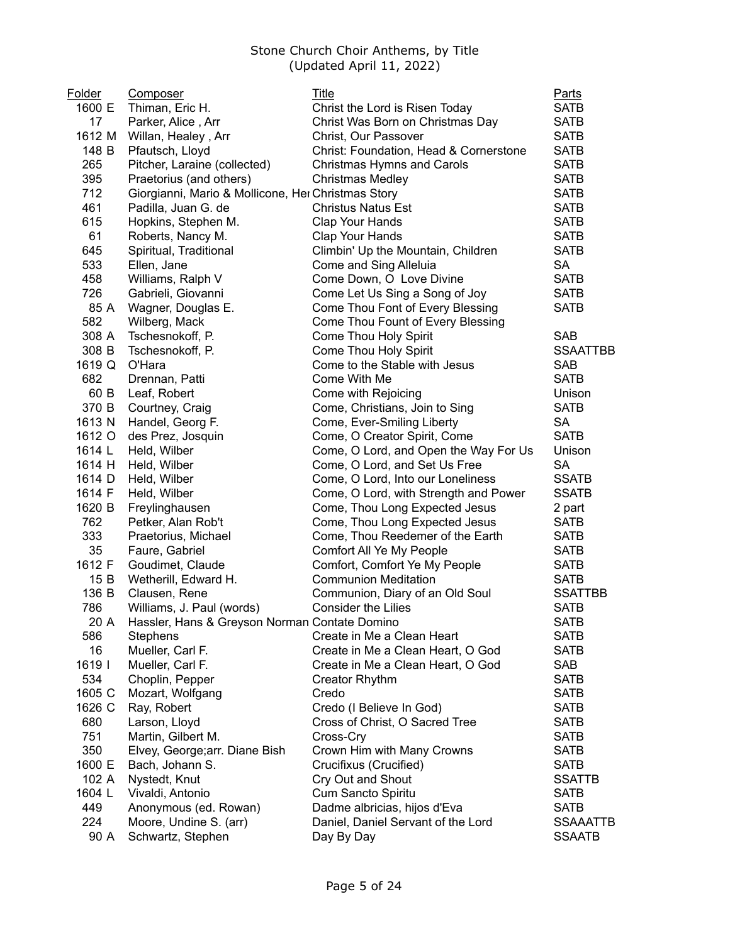| <b>Folder</b> | <b>Composer</b>                                    | Title                                  | Parts           |
|---------------|----------------------------------------------------|----------------------------------------|-----------------|
| 1600 E        | Thiman, Eric H.                                    | Christ the Lord is Risen Today         | <b>SATB</b>     |
| 17            | Parker, Alice, Arr                                 | Christ Was Born on Christmas Day       | <b>SATB</b>     |
| 1612 M        | Willan, Healey, Arr                                | Christ, Our Passover                   | <b>SATB</b>     |
| 148 B         | Pfautsch, Lloyd                                    | Christ: Foundation, Head & Cornerstone | <b>SATB</b>     |
| 265           | Pitcher, Laraine (collected)                       | Christmas Hymns and Carols             | <b>SATB</b>     |
| 395           | Praetorius (and others)                            | <b>Christmas Medley</b>                | <b>SATB</b>     |
| 712           | Giorgianni, Mario & Mollicone, Her Christmas Story |                                        | <b>SATB</b>     |
| 461           | Padilla, Juan G. de                                | <b>Christus Natus Est</b>              | <b>SATB</b>     |
| 615           | Hopkins, Stephen M.                                | Clap Your Hands                        | <b>SATB</b>     |
| 61            | Roberts, Nancy M.                                  | Clap Your Hands                        | <b>SATB</b>     |
| 645           | Spiritual, Traditional                             | Climbin' Up the Mountain, Children     | <b>SATB</b>     |
| 533           | Ellen, Jane                                        | Come and Sing Alleluia                 | SA              |
| 458           | Williams, Ralph V                                  | Come Down, O Love Divine               | <b>SATB</b>     |
| 726           | Gabrieli, Giovanni                                 | Come Let Us Sing a Song of Joy         | <b>SATB</b>     |
| 85 A          | Wagner, Douglas E.                                 | Come Thou Font of Every Blessing       | <b>SATB</b>     |
| 582           | Wilberg, Mack                                      | Come Thou Fount of Every Blessing      |                 |
| 308 A         | Tschesnokoff, P.                                   | Come Thou Holy Spirit                  | <b>SAB</b>      |
| 308 B         | Tschesnokoff, P.                                   | Come Thou Holy Spirit                  | <b>SSAATTBB</b> |
| 1619 Q        | O'Hara                                             | Come to the Stable with Jesus          | <b>SAB</b>      |
| 682           | Drennan, Patti                                     | Come With Me                           | <b>SATB</b>     |
| 60 B          | Leaf, Robert                                       | Come with Rejoicing                    | Unison          |
| 370 B         | Courtney, Craig                                    | Come, Christians, Join to Sing         | <b>SATB</b>     |
| 1613 N        | Handel, Georg F.                                   | Come, Ever-Smiling Liberty             | SA              |
| 1612 O        | des Prez, Josquin                                  | Come, O Creator Spirit, Come           | <b>SATB</b>     |
| 1614 L        | Held, Wilber                                       | Come, O Lord, and Open the Way For Us  | Unison          |
| 1614 H        | Held, Wilber                                       | Come, O Lord, and Set Us Free          | SА              |
| 1614 D        | Held, Wilber                                       | Come, O Lord, Into our Loneliness      | <b>SSATB</b>    |
| 1614 F        | Held, Wilber                                       | Come, O Lord, with Strength and Power  | <b>SSATB</b>    |
| 1620 B        | Freylinghausen                                     | Come, Thou Long Expected Jesus         | 2 part          |
| 762           | Petker, Alan Rob't                                 | Come, Thou Long Expected Jesus         | <b>SATB</b>     |
| 333           | Praetorius, Michael                                | Come, Thou Reedemer of the Earth       | <b>SATB</b>     |
| 35            | Faure, Gabriel                                     | Comfort All Ye My People               | <b>SATB</b>     |
| 1612 F        | Goudimet, Claude                                   | Comfort, Comfort Ye My People          | <b>SATB</b>     |
| 15 B          | Wetherill, Edward H.                               | <b>Communion Meditation</b>            | <b>SATB</b>     |
| 136 B         | Clausen, Rene                                      | Communion, Diary of an Old Soul        | <b>SSATTBB</b>  |
| 786           | Williams, J. Paul (words)                          | <b>Consider the Lilies</b>             | <b>SATB</b>     |
| 20 A          | Hassler, Hans & Greyson Norman Contate Domino      |                                        | <b>SATB</b>     |
| 586           | Stephens                                           | Create in Me a Clean Heart             | <b>SATB</b>     |
| 16            | Mueller, Carl F.                                   | Create in Me a Clean Heart, O God      | <b>SATB</b>     |
| 1619          | Mueller, Carl F.                                   | Create in Me a Clean Heart, O God      | SAB             |
| 534           | Choplin, Pepper                                    | <b>Creator Rhythm</b>                  | <b>SATB</b>     |
| 1605 C        | Mozart, Wolfgang                                   | Credo                                  | <b>SATB</b>     |
| 1626 C        | Ray, Robert                                        | Credo (I Believe In God)               | <b>SATB</b>     |
| 680           | Larson, Lloyd                                      | Cross of Christ, O Sacred Tree         | <b>SATB</b>     |
| 751           | Martin, Gilbert M.                                 | Cross-Cry                              | <b>SATB</b>     |
| 350           |                                                    | Crown Him with Many Crowns             | <b>SATB</b>     |
|               | Elvey, George; arr. Diane Bish                     |                                        | <b>SATB</b>     |
| 1600 E        | Bach, Johann S.                                    | Crucifixus (Crucified)                 |                 |
| 102 A         | Nystedt, Knut                                      | Cry Out and Shout                      | <b>SSATTB</b>   |
| 1604 L        | Vivaldi, Antonio                                   | Cum Sancto Spiritu                     | <b>SATB</b>     |
| 449           | Anonymous (ed. Rowan)                              | Dadme albricias, hijos d'Eva           | <b>SATB</b>     |
| 224           | Moore, Undine S. (arr)                             | Daniel, Daniel Servant of the Lord     | <b>SSAAATTB</b> |
| 90 A          | Schwartz, Stephen                                  | Day By Day                             | <b>SSAATB</b>   |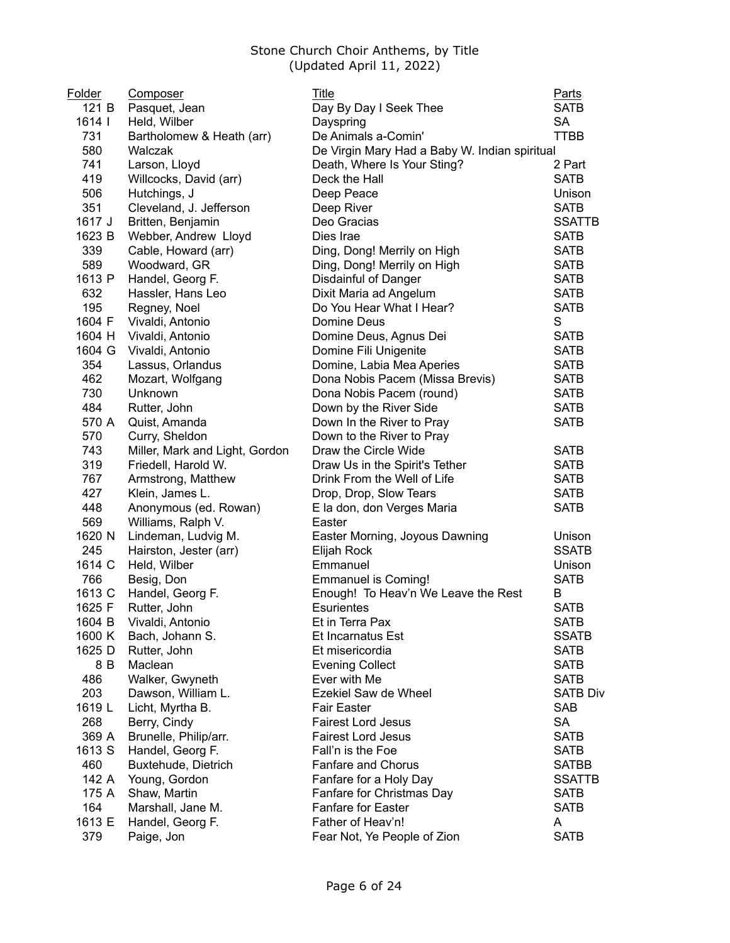| Folder | Composer                       | Title                                         | Parts           |
|--------|--------------------------------|-----------------------------------------------|-----------------|
| 121 B  | Pasquet, Jean                  | Day By Day I Seek Thee                        | <b>SATB</b>     |
| 1614   | Held, Wilber                   | Dayspring                                     | <b>SA</b>       |
| 731    | Bartholomew & Heath (arr)      | De Animals a-Comin'                           | <b>TTBB</b>     |
| 580    | Walczak                        | De Virgin Mary Had a Baby W. Indian spiritual |                 |
| 741    | Larson, Lloyd                  | Death, Where Is Your Sting?                   | 2 Part          |
| 419    | Willcocks, David (arr)         | Deck the Hall                                 | <b>SATB</b>     |
| 506    | Hutchings, J                   | Deep Peace                                    | Unison          |
| 351    | Cleveland, J. Jefferson        | Deep River                                    | <b>SATB</b>     |
| 1617 J | Britten, Benjamin              | Deo Gracias                                   | <b>SSATTB</b>   |
| 1623 B | Webber, Andrew Lloyd           | Dies Irae                                     | <b>SATB</b>     |
| 339    | Cable, Howard (arr)            | Ding, Dong! Merrily on High                   | <b>SATB</b>     |
| 589    | Woodward, GR                   | Ding, Dong! Merrily on High                   | <b>SATB</b>     |
| 1613 P | Handel, Georg F.               | Disdainful of Danger                          | <b>SATB</b>     |
| 632    | Hassler, Hans Leo              | Dixit Maria ad Angelum                        | <b>SATB</b>     |
| 195    | Regney, Noel                   | Do You Hear What I Hear?                      | <b>SATB</b>     |
| 1604 F | Vivaldi, Antonio               | Domine Deus                                   | S               |
| 1604 H | Vivaldi, Antonio               | Domine Deus, Agnus Dei                        | <b>SATB</b>     |
| 1604 G | Vivaldi, Antonio               | Domine Fili Unigenite                         | <b>SATB</b>     |
| 354    | Lassus, Orlandus               | Domine, Labia Mea Aperies                     | <b>SATB</b>     |
| 462    |                                | Dona Nobis Pacem (Missa Brevis)               | <b>SATB</b>     |
| 730    | Mozart, Wolfgang<br>Unknown    | Dona Nobis Pacem (round)                      | <b>SATB</b>     |
| 484    |                                | Down by the River Side                        | <b>SATB</b>     |
| 570 A  | Rutter, John                   |                                               | <b>SATB</b>     |
| 570    | Quist, Amanda                  | Down In the River to Pray                     |                 |
| 743    | Curry, Sheldon                 | Down to the River to Pray                     |                 |
|        | Miller, Mark and Light, Gordon | Draw the Circle Wide                          | <b>SATB</b>     |
| 319    | Friedell, Harold W.            | Draw Us in the Spirit's Tether                | <b>SATB</b>     |
| 767    | Armstrong, Matthew             | Drink From the Well of Life                   | <b>SATB</b>     |
| 427    | Klein, James L.                | Drop, Drop, Slow Tears                        | <b>SATB</b>     |
| 448    | Anonymous (ed. Rowan)          | E la don, don Verges Maria                    | <b>SATB</b>     |
| 569    | Williams, Ralph V.             | Easter                                        |                 |
| 1620 N | Lindeman, Ludvig M.            | Easter Morning, Joyous Dawning                | Unison          |
| 245    | Hairston, Jester (arr)         | Elijah Rock                                   | <b>SSATB</b>    |
| 1614 C | Held, Wilber                   | Emmanuel                                      | Unison          |
| 766    | Besig, Don                     | <b>Emmanuel is Coming!</b>                    | <b>SATB</b>     |
| 1613 C | Handel, Georg F.               | Enough! To Heav'n We Leave the Rest           | B               |
| 1625 F | Rutter, John                   | Esurientes                                    | <b>SATB</b>     |
| 1604 B | Vivaldi, Antonio               | Et in Terra Pax                               | SATB            |
| 1600 K | Bach, Johann S.                | Et Incarnatus Est                             | <b>SSATB</b>    |
| 1625 D | Rutter, John                   | Et misericordia                               | <b>SATB</b>     |
| 8 B    | Maclean                        | <b>Evening Collect</b>                        | <b>SATB</b>     |
| 486    | Walker, Gwyneth                | Ever with Me                                  | <b>SATB</b>     |
| 203    | Dawson, William L.             | Ezekiel Saw de Wheel                          | <b>SATB Div</b> |
| 1619 L | Licht, Myrtha B.               | <b>Fair Easter</b>                            | <b>SAB</b>      |
| 268    | Berry, Cindy                   | <b>Fairest Lord Jesus</b>                     | <b>SA</b>       |
| 369 A  | Brunelle, Philip/arr.          | <b>Fairest Lord Jesus</b>                     | <b>SATB</b>     |
| 1613 S | Handel, Georg F.               | Fall'n is the Foe                             | <b>SATB</b>     |
| 460    | Buxtehude, Dietrich            | <b>Fanfare and Chorus</b>                     | <b>SATBB</b>    |
| 142 A  | Young, Gordon                  | Fanfare for a Holy Day                        | <b>SSATTB</b>   |
| 175 A  | Shaw, Martin                   | Fanfare for Christmas Day                     | <b>SATB</b>     |
| 164    | Marshall, Jane M.              | <b>Fanfare for Easter</b>                     | <b>SATB</b>     |
| 1613 E | Handel, Georg F.               | Father of Heav'n!                             | A               |
| 379    | Paige, Jon                     | Fear Not, Ye People of Zion                   | <b>SATB</b>     |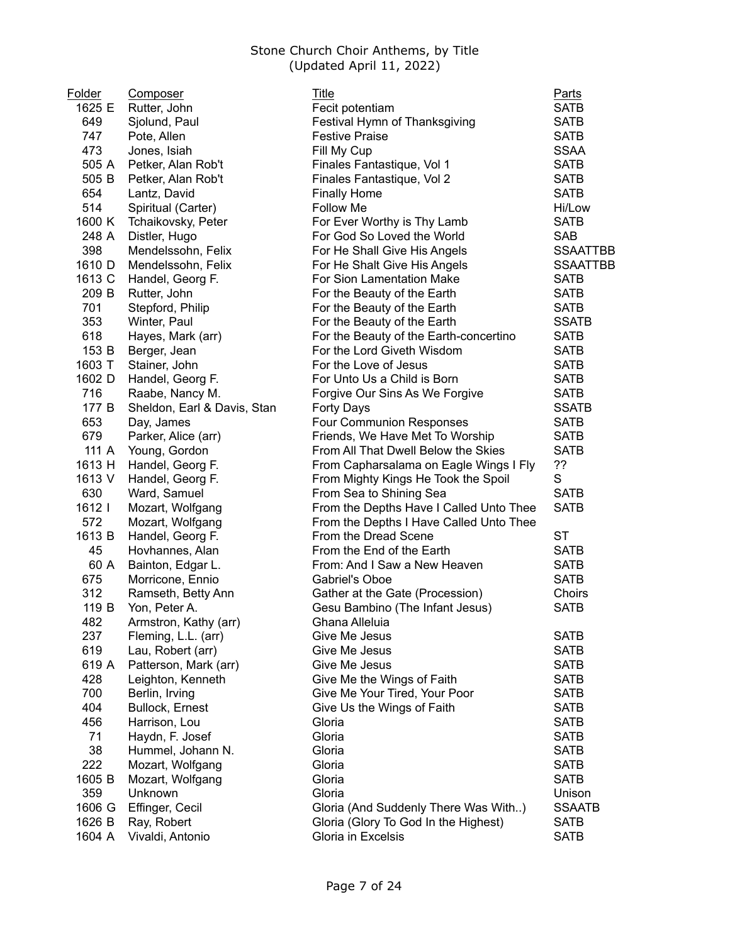| Folder | Composer                    | <b>Title</b>                            | <b>Parts</b>               |
|--------|-----------------------------|-----------------------------------------|----------------------------|
| 1625 E | Rutter, John                | Fecit potentiam                         | <b>SATB</b>                |
| 649    | Sjolund, Paul               | Festival Hymn of Thanksgiving           | <b>SATB</b>                |
| 747    | Pote, Allen                 | <b>Festive Praise</b>                   | <b>SATB</b>                |
| 473    | Jones, Isiah                | Fill My Cup                             | <b>SSAA</b>                |
| 505 A  | Petker, Alan Rob't          | Finales Fantastique, Vol 1              | <b>SATB</b>                |
| 505 B  | Petker, Alan Rob't          | Finales Fantastique, Vol 2              | <b>SATB</b>                |
| 654    | Lantz, David                | <b>Finally Home</b>                     | <b>SATB</b>                |
| 514    | Spiritual (Carter)          | Follow Me                               | Hi/Low                     |
| 1600 K | Tchaikovsky, Peter          | For Ever Worthy is Thy Lamb             | <b>SATB</b>                |
| 248 A  | Distler, Hugo               | For God So Loved the World              | <b>SAB</b>                 |
| 398    | Mendelssohn, Felix          | For He Shall Give His Angels            | <b>SSAATTBB</b>            |
| 1610 D | Mendelssohn, Felix          | For He Shalt Give His Angels            | <b>SSAATTBB</b>            |
| 1613 C | Handel, Georg F.            | For Sion Lamentation Make               | <b>SATB</b>                |
| 209 B  | Rutter, John                | For the Beauty of the Earth             | <b>SATB</b>                |
| 701    | Stepford, Philip            | For the Beauty of the Earth             | <b>SATB</b>                |
| 353    | Winter, Paul                | For the Beauty of the Earth             | <b>SSATB</b>               |
| 618    | Hayes, Mark (arr)           | For the Beauty of the Earth-concertino  | <b>SATB</b>                |
| 153 B  | Berger, Jean                | For the Lord Giveth Wisdom              | <b>SATB</b>                |
| 1603 T | Stainer, John               | For the Love of Jesus                   | <b>SATB</b>                |
| 1602 D | Handel, Georg F.            | For Unto Us a Child is Born             | <b>SATB</b>                |
| 716    | Raabe, Nancy M.             | Forgive Our Sins As We Forgive          | <b>SATB</b>                |
| 177 B  | Sheldon, Earl & Davis, Stan | Forty Days                              | <b>SSATB</b>               |
| 653    | Day, James                  | Four Communion Responses                | <b>SATB</b>                |
| 679    | Parker, Alice (arr)         | Friends, We Have Met To Worship         | <b>SATB</b>                |
| 111 A  | Young, Gordon               | From All That Dwell Below the Skies     | <b>SATB</b>                |
| 1613 H | Handel, Georg F.            | From Capharsalama on Eagle Wings I Fly  | ??                         |
| 1613 V | Handel, Georg F.            | From Mighty Kings He Took the Spoil     | S                          |
| 630    | Ward, Samuel                | From Sea to Shining Sea                 | <b>SATB</b>                |
| 1612   | Mozart, Wolfgang            | From the Depths Have I Called Unto Thee | <b>SATB</b>                |
| 572    | Mozart, Wolfgang            | From the Depths I Have Called Unto Thee |                            |
| 1613 B | Handel, Georg F.            | From the Dread Scene                    | ST                         |
| 45     | Hovhannes, Alan             | From the End of the Earth               | <b>SATB</b>                |
| 60 A   | Bainton, Edgar L.           | From: And I Saw a New Heaven            | <b>SATB</b>                |
| 675    | Morricone, Ennio            | Gabriel's Oboe                          | <b>SATB</b>                |
| 312    | Ramseth, Betty Ann          | Gather at the Gate (Procession)         | Choirs                     |
| 119 B  | Yon, Peter A.               | Gesu Bambino (The Infant Jesus)         | <b>SATB</b>                |
| 482    | Armstron, Kathy (arr)       | Ghana Alleluia                          |                            |
| 237    | Fleming, L.L. (arr)         | Give Me Jesus                           | <b>SATB</b>                |
| 619    | Lau, Robert (arr)           | Give Me Jesus                           | <b>SATB</b>                |
| 619 A  | Patterson, Mark (arr)       | Give Me Jesus                           | <b>SATB</b>                |
| 428    | Leighton, Kenneth           | Give Me the Wings of Faith              | <b>SATB</b>                |
| 700    | Berlin, Irving              | Give Me Your Tired, Your Poor           | <b>SATB</b>                |
| 404    | Bullock, Ernest             | Give Us the Wings of Faith              | <b>SATB</b>                |
| 456    | Harrison, Lou               | Gloria                                  | <b>SATB</b>                |
| 71     | Haydn, F. Josef             | Gloria                                  | <b>SATB</b>                |
| 38     | Hummel, Johann N.           | Gloria                                  | <b>SATB</b>                |
|        |                             |                                         |                            |
| 222    | Mozart, Wolfgang            | Gloria<br>Gloria                        | <b>SATB</b><br><b>SATB</b> |
| 1605 B | Mozart, Wolfgang            |                                         |                            |
| 359    | Unknown                     | Gloria                                  | Unison                     |
| 1606 G | Effinger, Cecil             | Gloria (And Suddenly There Was With)    | <b>SSAATB</b>              |
| 1626 B | Ray, Robert                 | Gloria (Glory To God In the Highest)    | <b>SATB</b>                |
| 1604 A | Vivaldi, Antonio            | Gloria in Excelsis                      | <b>SATB</b>                |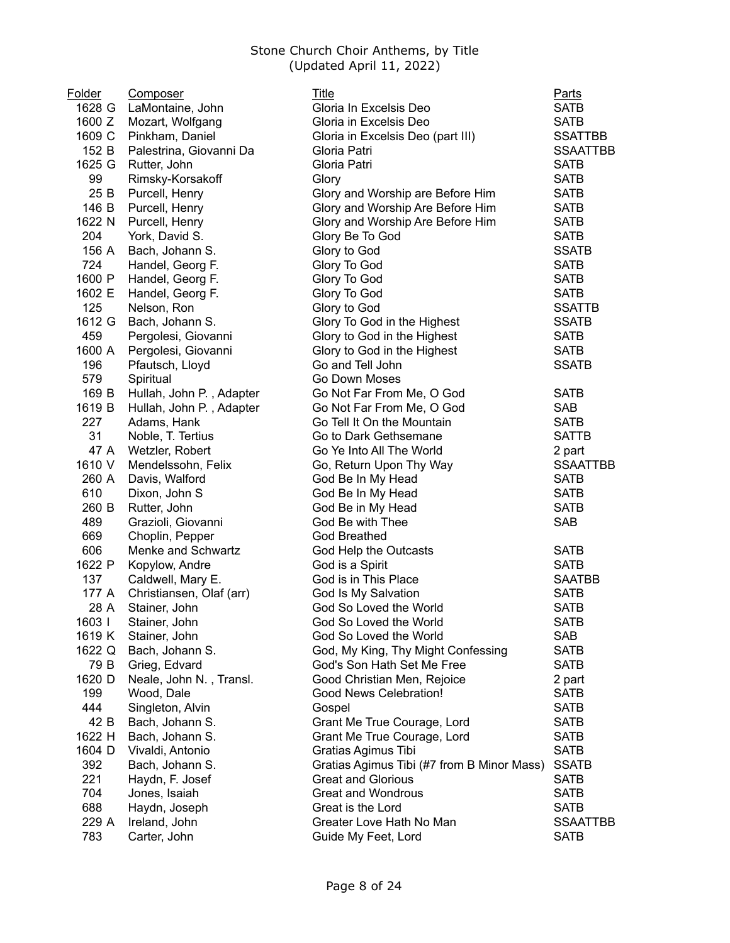| Folder       | <b>Composer</b>          | <b>Title</b>                                                      | <b>Parts</b>                   |
|--------------|--------------------------|-------------------------------------------------------------------|--------------------------------|
| 1628 G       | LaMontaine, John         | Gloria In Excelsis Deo                                            | <b>SATB</b>                    |
| 1600 Z       | Mozart, Wolfgang         | Gloria in Excelsis Deo                                            | <b>SATB</b>                    |
| 1609 C       | Pinkham, Daniel          | Gloria in Excelsis Deo (part III)                                 | <b>SSATTBB</b>                 |
| 152 B        | Palestrina, Giovanni Da  | Gloria Patri                                                      | <b>SSAATTBB</b>                |
| 1625 G       | Rutter, John             | Gloria Patri                                                      | <b>SATB</b>                    |
| 99           | Rimsky-Korsakoff         | Glory                                                             | <b>SATB</b>                    |
| 25 B         | Purcell, Henry           | Glory and Worship are Before Him                                  | <b>SATB</b>                    |
| 146 B        | Purcell, Henry           | Glory and Worship Are Before Him                                  | <b>SATB</b>                    |
| 1622 N       | Purcell, Henry           | Glory and Worship Are Before Him                                  | <b>SATB</b>                    |
| 204          | York, David S.           | Glory Be To God                                                   | <b>SATB</b>                    |
| 156 A        | Bach, Johann S.          | Glory to God                                                      | <b>SSATB</b>                   |
| 724          | Handel, Georg F.         | Glory To God                                                      | <b>SATB</b>                    |
| 1600 P       | Handel, Georg F.         | Glory To God                                                      | <b>SATB</b>                    |
| 1602 E       | Handel, Georg F.         | Glory To God                                                      | <b>SATB</b>                    |
| 125          | Nelson, Ron              | Glory to God                                                      | <b>SSATTB</b>                  |
| 1612 G       | Bach, Johann S.          | Glory To God in the Highest                                       | <b>SSATB</b>                   |
| 459          | Pergolesi, Giovanni      | Glory to God in the Highest                                       | <b>SATB</b>                    |
| 1600 A       | Pergolesi, Giovanni      | Glory to God in the Highest                                       | <b>SATB</b>                    |
| 196          | Pfautsch, Lloyd          | Go and Tell John                                                  | <b>SSATB</b>                   |
| 579          | Spiritual                | Go Down Moses                                                     |                                |
| 169 B        | Hullah, John P., Adapter | Go Not Far From Me, O God                                         | <b>SATB</b>                    |
| 1619 B       | Hullah, John P., Adapter | Go Not Far From Me, O God                                         | <b>SAB</b>                     |
| 227          | Adams, Hank              | Go Tell It On the Mountain                                        | <b>SATB</b>                    |
| 31           | Noble, T. Tertius        | Go to Dark Gethsemane                                             | <b>SATTB</b>                   |
| 47 A         | Wetzler, Robert          | Go Ye Into All The World                                          | 2 part                         |
| 1610 V       | Mendelssohn, Felix       | Go, Return Upon Thy Way                                           | <b>SSAATTBB</b>                |
| 260 A        | Davis, Walford           | God Be In My Head                                                 | <b>SATB</b>                    |
| 610          | Dixon, John S            | God Be In My Head                                                 | <b>SATB</b>                    |
| 260 B        | Rutter, John             | God Be in My Head                                                 | <b>SATB</b>                    |
| 489          | Grazioli, Giovanni       | God Be with Thee                                                  | <b>SAB</b>                     |
| 669          | Choplin, Pepper          | <b>God Breathed</b>                                               |                                |
| 606          | Menke and Schwartz       | God Help the Outcasts                                             | <b>SATB</b>                    |
| 1622 P       | Kopylow, Andre           | God is a Spirit                                                   | <b>SATB</b>                    |
| 137          | Caldwell, Mary E.        | God is in This Place                                              | <b>SAATBB</b>                  |
| 177 A        | Christiansen, Olaf (arr) | God Is My Salvation                                               | <b>SATB</b>                    |
| 28 A         | Stainer, John            | God So Loved the World                                            | <b>SATB</b>                    |
| 1603         | Stainer, John            | God So Loved the World                                            | <b>SATB</b>                    |
| 1619 K       | Stainer, John            | God So Loved the World                                            | SAB                            |
| 1622 Q       | Bach, Johann S.          | God, My King, Thy Might Confessing                                | <b>SATB</b>                    |
| 79 B         | Grieg, Edvard            | God's Son Hath Set Me Free                                        | <b>SATB</b>                    |
| 1620 D       | Neale, John N., Transl.  | Good Christian Men, Rejoice                                       | 2 part                         |
| 199          | Wood, Dale               | Good News Celebration!                                            | <b>SATB</b>                    |
| 444          | Singleton, Alvin         | Gospel                                                            | <b>SATB</b>                    |
| 42 B         | Bach, Johann S.          | Grant Me True Courage, Lord                                       | <b>SATB</b>                    |
| 1622 H       | Bach, Johann S.          | Grant Me True Courage, Lord                                       | <b>SATB</b>                    |
| 1604 D       | Vivaldi, Antonio         |                                                                   | <b>SATB</b>                    |
| 392          |                          | Gratias Agimus Tibi<br>Gratias Agimus Tibi (#7 from B Minor Mass) |                                |
|              | Bach, Johann S.          |                                                                   | <b>SSATB</b>                   |
| 221<br>704   | Haydn, F. Josef          | <b>Great and Glorious</b><br><b>Great and Wondrous</b>            | <b>SATB</b>                    |
|              | Jones, Isaiah            |                                                                   | <b>SATB</b>                    |
| 688<br>229 A | Haydn, Joseph            | Great is the Lord<br>Greater Love Hath No Man                     | <b>SATB</b><br><b>SSAATTBB</b> |
|              | Ireland, John            |                                                                   |                                |
| 783          | Carter, John             | Guide My Feet, Lord                                               | <b>SATB</b>                    |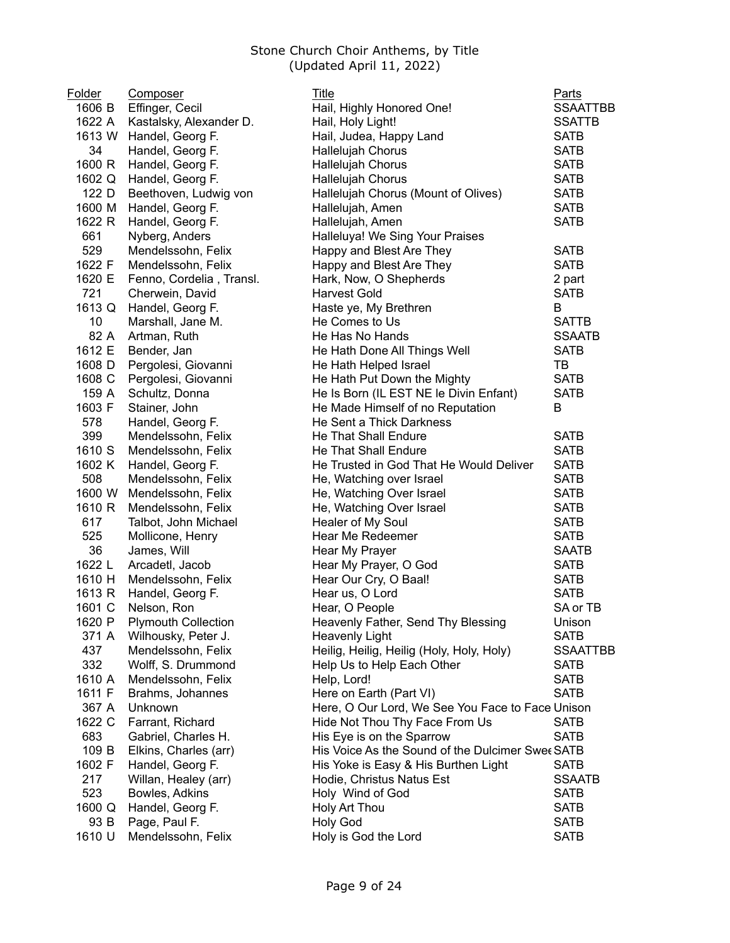| Folder | Composer                   | <b>Title</b>                                     | <b>Parts</b>    |
|--------|----------------------------|--------------------------------------------------|-----------------|
| 1606 B | Effinger, Cecil            | Hail, Highly Honored One!                        | <b>SSAATTBB</b> |
| 1622 A | Kastalsky, Alexander D.    | Hail, Holy Light!                                | <b>SSATTB</b>   |
| 1613 W | Handel, Georg F.           | Hail, Judea, Happy Land                          | <b>SATB</b>     |
| 34     | Handel, Georg F.           | Hallelujah Chorus                                | <b>SATB</b>     |
| 1600 R | Handel, Georg F.           | Hallelujah Chorus                                | <b>SATB</b>     |
| 1602 Q | Handel, Georg F.           | Hallelujah Chorus                                | <b>SATB</b>     |
| 122 D  | Beethoven, Ludwig von      | Hallelujah Chorus (Mount of Olives)              | <b>SATB</b>     |
| 1600 M | Handel, Georg F.           | Hallelujah, Amen                                 | <b>SATB</b>     |
| 1622 R | Handel, Georg F.           | Hallelujah, Amen                                 | <b>SATB</b>     |
| 661    | Nyberg, Anders             | Halleluya! We Sing Your Praises                  |                 |
| 529    | Mendelssohn, Felix         | Happy and Blest Are They                         | <b>SATB</b>     |
| 1622 F | Mendelssohn, Felix         | Happy and Blest Are They                         | <b>SATB</b>     |
| 1620 E | Fenno, Cordelia, Transl.   | Hark, Now, O Shepherds                           | 2 part          |
| 721    | Cherwein, David            | <b>Harvest Gold</b>                              | <b>SATB</b>     |
| 1613 Q | Handel, Georg F.           | Haste ye, My Brethren                            | B               |
| 10     | Marshall, Jane M.          | He Comes to Us                                   | <b>SATTB</b>    |
| 82 A   | Artman, Ruth               | He Has No Hands                                  | <b>SSAATB</b>   |
| 1612 E | Bender, Jan                | He Hath Done All Things Well                     | <b>SATB</b>     |
| 1608 D | Pergolesi, Giovanni        | He Hath Helped Israel                            | TB              |
| 1608 C | Pergolesi, Giovanni        | He Hath Put Down the Mighty                      | <b>SATB</b>     |
| 159 A  | Schultz, Donna             | He Is Born (IL EST NE le Divin Enfant)           | <b>SATB</b>     |
| 1603 F | Stainer, John              | He Made Himself of no Reputation                 | B               |
| 578    | Handel, Georg F.           | He Sent a Thick Darkness                         |                 |
| 399    | Mendelssohn, Felix         | He That Shall Endure                             | <b>SATB</b>     |
| 1610 S | Mendelssohn, Felix         | He That Shall Endure                             | <b>SATB</b>     |
| 1602 K | Handel, Georg F.           | He Trusted in God That He Would Deliver          | <b>SATB</b>     |
| 508    | Mendelssohn, Felix         | He, Watching over Israel                         | <b>SATB</b>     |
| 1600 W | Mendelssohn, Felix         | He, Watching Over Israel                         | <b>SATB</b>     |
| 1610 R | Mendelssohn, Felix         | He, Watching Over Israel                         | <b>SATB</b>     |
| 617    | Talbot, John Michael       | Healer of My Soul                                | <b>SATB</b>     |
| 525    | Mollicone, Henry           | Hear Me Redeemer                                 | <b>SATB</b>     |
| 36     | James, Will                | Hear My Prayer                                   | <b>SAATB</b>    |
| 1622 L | Arcadetl, Jacob            | Hear My Prayer, O God                            | <b>SATB</b>     |
| 1610 H | Mendelssohn, Felix         | Hear Our Cry, O Baal!                            | <b>SATB</b>     |
| 1613 R | Handel, Georg F.           | Hear us, O Lord                                  | <b>SATB</b>     |
| 1601 C | Nelson, Ron                | Hear, O People                                   | SA or TB        |
| 1620 P | <b>Plymouth Collection</b> | Heavenly Father, Send Thy Blessing               | Unison          |
| 371 A  | Wilhousky, Peter J.        | <b>Heavenly Light</b>                            | <b>SATB</b>     |
| 437    | Mendelssohn, Felix         | Heilig, Heilig, Heilig (Holy, Holy, Holy)        | <b>SSAATTBB</b> |
| 332    | Wolff, S. Drummond         | Help Us to Help Each Other                       | <b>SATB</b>     |
| 1610 A | Mendelssohn, Felix         | Help, Lord!                                      | <b>SATB</b>     |
| 1611 F | Brahms, Johannes           | Here on Earth (Part VI)                          | <b>SATB</b>     |
| 367 A  | Unknown                    | Here, O Our Lord, We See You Face to Face Unison |                 |
| 1622 C | Farrant, Richard           | Hide Not Thou Thy Face From Us                   | <b>SATB</b>     |
| 683    | Gabriel, Charles H.        | His Eye is on the Sparrow                        | <b>SATB</b>     |
| 109 B  | Elkins, Charles (arr)      | His Voice As the Sound of the Dulcimer Swee SATB |                 |
| 1602 F | Handel, Georg F.           | His Yoke is Easy & His Burthen Light             | <b>SATB</b>     |
| 217    | Willan, Healey (arr)       | Hodie, Christus Natus Est                        | <b>SSAATB</b>   |
| 523    | Bowles, Adkins             | Holy Wind of God                                 | <b>SATB</b>     |
| 1600 Q | Handel, Georg F.           | Holy Art Thou                                    | <b>SATB</b>     |
| 93 B   |                            | <b>Holy God</b>                                  | <b>SATB</b>     |
|        | Page, Paul F.              |                                                  |                 |
| 1610 U | Mendelssohn, Felix         | Holy is God the Lord                             | <b>SATB</b>     |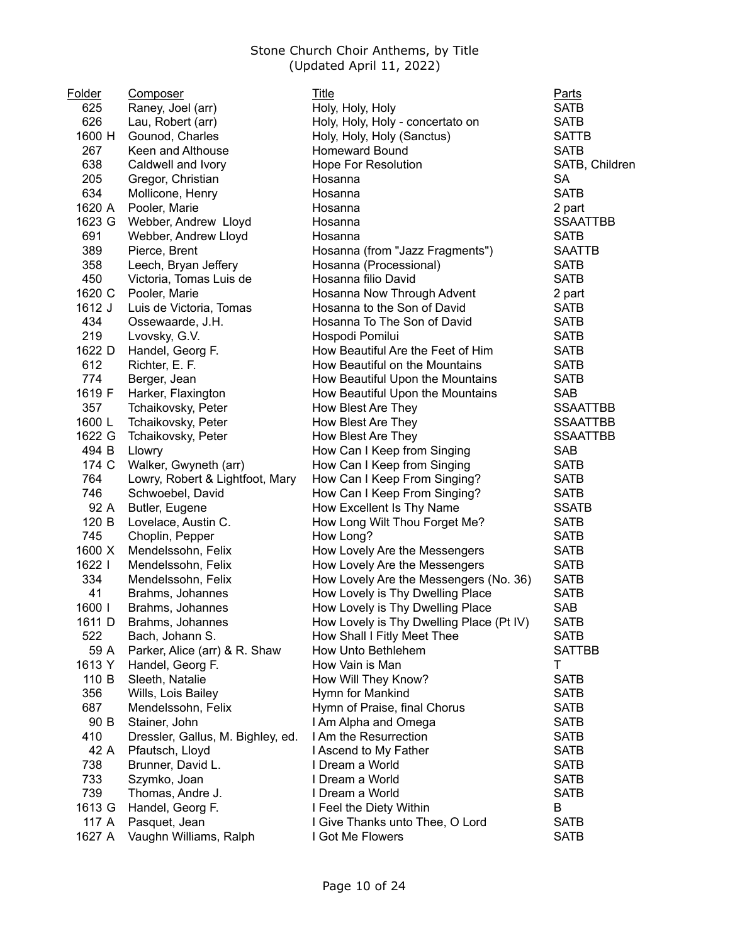| Folder | Composer                          | <b>Title</b>                             | <b>Parts</b>    |
|--------|-----------------------------------|------------------------------------------|-----------------|
| 625    | Raney, Joel (arr)                 | Holy, Holy, Holy                         | <b>SATB</b>     |
| 626    | Lau, Robert (arr)                 | Holy, Holy, Holy - concertato on         | <b>SATB</b>     |
| 1600 H | Gounod, Charles                   | Holy, Holy, Holy (Sanctus)               | <b>SATTB</b>    |
| 267    | Keen and Althouse                 | <b>Homeward Bound</b>                    | <b>SATB</b>     |
| 638    | Caldwell and Ivory                | <b>Hope For Resolution</b>               | SATB, Children  |
| 205    | Gregor, Christian                 | Hosanna                                  | <b>SA</b>       |
| 634    | Mollicone, Henry                  | Hosanna                                  | <b>SATB</b>     |
| 1620 A | Pooler, Marie                     | Hosanna                                  | 2 part          |
| 1623 G | Webber, Andrew Lloyd              | Hosanna                                  | <b>SSAATTBB</b> |
| 691    | Webber, Andrew Lloyd              | Hosanna                                  | <b>SATB</b>     |
| 389    | Pierce, Brent                     | Hosanna (from "Jazz Fragments")          | <b>SAATTB</b>   |
| 358    | Leech, Bryan Jeffery              | Hosanna (Processional)                   | <b>SATB</b>     |
| 450    | Victoria, Tomas Luis de           | Hosanna filio David                      | <b>SATB</b>     |
| 1620 C | Pooler, Marie                     | Hosanna Now Through Advent               | 2 part          |
| 1612 J | Luis de Victoria, Tomas           | Hosanna to the Son of David              | <b>SATB</b>     |
| 434    | Ossewaarde, J.H.                  | Hosanna To The Son of David              | <b>SATB</b>     |
| 219    | Lvovsky, G.V.                     | Hospodi Pomilui                          | <b>SATB</b>     |
| 1622 D | Handel, Georg F.                  | How Beautiful Are the Feet of Him        | <b>SATB</b>     |
| 612    | Richter, E. F.                    | How Beautiful on the Mountains           | <b>SATB</b>     |
| 774    | Berger, Jean                      | How Beautiful Upon the Mountains         | <b>SATB</b>     |
| 1619 F | Harker, Flaxington                | How Beautiful Upon the Mountains         | <b>SAB</b>      |
| 357    | Tchaikovsky, Peter                | How Blest Are They                       | <b>SSAATTBB</b> |
| 1600L  | Tchaikovsky, Peter                | How Blest Are They                       | <b>SSAATTBB</b> |
| 1622 G | Tchaikovsky, Peter                | How Blest Are They                       | <b>SSAATTBB</b> |
| 494 B  | Llowry                            | How Can I Keep from Singing              | <b>SAB</b>      |
| 174 C  | Walker, Gwyneth (arr)             | How Can I Keep from Singing              | <b>SATB</b>     |
| 764    | Lowry, Robert & Lightfoot, Mary   | How Can I Keep From Singing?             | <b>SATB</b>     |
| 746    | Schwoebel, David                  | How Can I Keep From Singing?             | <b>SATB</b>     |
| 92 A   | Butler, Eugene                    | How Excellent Is Thy Name                | <b>SSATB</b>    |
| 120 B  | Lovelace, Austin C.               | How Long Wilt Thou Forget Me?            | <b>SATB</b>     |
| 745    | Choplin, Pepper                   | How Long?                                | <b>SATB</b>     |
| 1600 X | Mendelssohn, Felix                | How Lovely Are the Messengers            | <b>SATB</b>     |
| 1622   | Mendelssohn, Felix                | How Lovely Are the Messengers            | <b>SATB</b>     |
| 334    | Mendelssohn, Felix                | How Lovely Are the Messengers (No. 36)   | <b>SATB</b>     |
| 41     | Brahms, Johannes                  | How Lovely is Thy Dwelling Place         | <b>SATB</b>     |
| 1600   | Brahms, Johannes                  | How Lovely is Thy Dwelling Place         | SAB             |
|        | 1611 D Brahms, Johannes           | How Lovely is Thy Dwelling Place (Pt IV) | <b>SATB</b>     |
| 522    | Bach, Johann S.                   | How Shall I Fitly Meet Thee              | <b>SATB</b>     |
| 59 A   | Parker, Alice (arr) & R. Shaw     | How Unto Bethlehem                       | <b>SATTBB</b>   |
| 1613 Y | Handel, Georg F.                  | How Vain is Man                          | T               |
| 110 B  | Sleeth, Natalie                   | How Will They Know?                      | <b>SATB</b>     |
| 356    | Wills, Lois Bailey                | Hymn for Mankind                         | <b>SATB</b>     |
| 687    | Mendelssohn, Felix                | Hymn of Praise, final Chorus             | <b>SATB</b>     |
| 90 B   | Stainer, John                     | I Am Alpha and Omega                     | <b>SATB</b>     |
| 410    | Dressler, Gallus, M. Bighley, ed. | I Am the Resurrection                    | <b>SATB</b>     |
| 42 A   | Pfautsch, Lloyd                   | I Ascend to My Father                    | <b>SATB</b>     |
| 738    | Brunner, David L.                 | I Dream a World                          | <b>SATB</b>     |
| 733    | Szymko, Joan                      | I Dream a World                          | <b>SATB</b>     |
| 739    | Thomas, Andre J.                  | I Dream a World                          | <b>SATB</b>     |
| 1613 G | Handel, Georg F.                  | I Feel the Diety Within                  | B               |
| 117 A  | Pasquet, Jean                     | I Give Thanks unto Thee, O Lord          | <b>SATB</b>     |
| 1627 A | Vaughn Williams, Ralph            | I Got Me Flowers                         | <b>SATB</b>     |
|        |                                   |                                          |                 |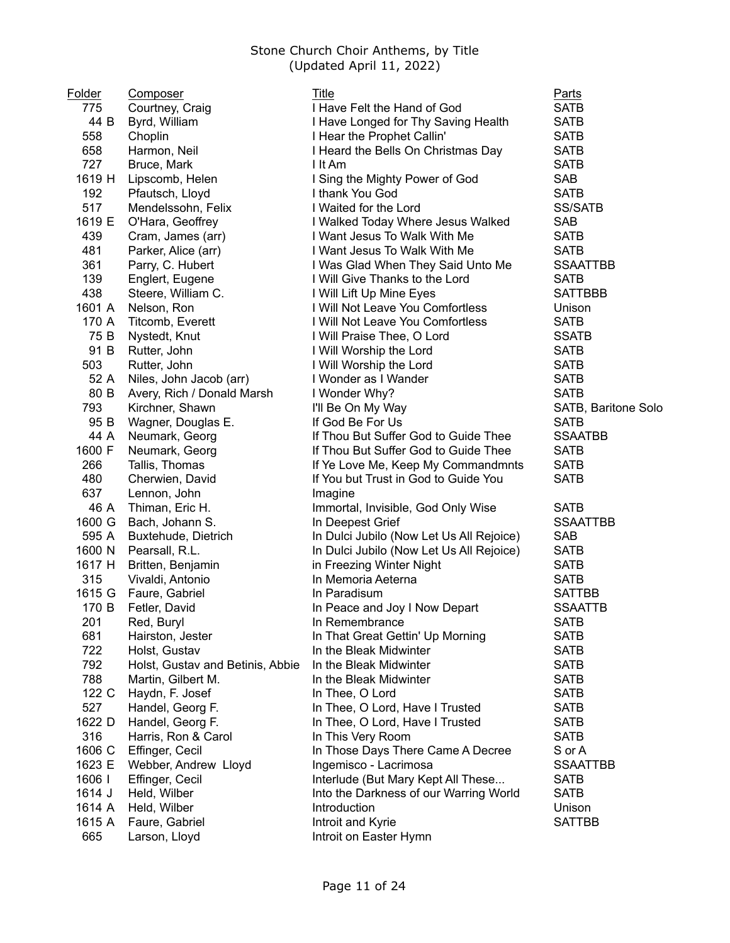| Folder | <b>Composer</b>                  | Title                                    | <b>Parts</b>        |
|--------|----------------------------------|------------------------------------------|---------------------|
| 775    | Courtney, Craig                  | I Have Felt the Hand of God              | <b>SATB</b>         |
| 44 B   | Byrd, William                    | I Have Longed for Thy Saving Health      | <b>SATB</b>         |
| 558    | Choplin                          | I Hear the Prophet Callin'               | <b>SATB</b>         |
| 658    | Harmon, Neil                     | I Heard the Bells On Christmas Day       | <b>SATB</b>         |
| 727    | Bruce, Mark                      | I It Am                                  | <b>SATB</b>         |
| 1619 H | Lipscomb, Helen                  | I Sing the Mighty Power of God           | <b>SAB</b>          |
| 192    | Pfautsch, Lloyd                  | I thank You God                          | <b>SATB</b>         |
| 517    | Mendelssohn, Felix               | I Waited for the Lord                    | <b>SS/SATB</b>      |
| 1619 E | O'Hara, Geoffrey                 | I Walked Today Where Jesus Walked        | <b>SAB</b>          |
| 439    | Cram, James (arr)                | I Want Jesus To Walk With Me             | <b>SATB</b>         |
| 481    | Parker, Alice (arr)              | I Want Jesus To Walk With Me             | <b>SATB</b>         |
| 361    | Parry, C. Hubert                 | I Was Glad When They Said Unto Me        | <b>SSAATTBB</b>     |
| 139    | Englert, Eugene                  | I Will Give Thanks to the Lord           | <b>SATB</b>         |
| 438    | Steere, William C.               | I Will Lift Up Mine Eyes                 | <b>SATTBBB</b>      |
| 1601 A | Nelson, Ron                      | I Will Not Leave You Comfortless         | Unison              |
| 170 A  | Titcomb, Everett                 | I Will Not Leave You Comfortless         | <b>SATB</b>         |
| 75 B   | Nystedt, Knut                    | I Will Praise Thee, O Lord               | <b>SSATB</b>        |
| 91 B   | Rutter, John                     | I Will Worship the Lord                  | <b>SATB</b>         |
| 503    | Rutter, John                     | I Will Worship the Lord                  | <b>SATB</b>         |
| 52 A   | Niles, John Jacob (arr)          | I Wonder as I Wander                     | <b>SATB</b>         |
| 80 B   | Avery, Rich / Donald Marsh       | I Wonder Why?                            | <b>SATB</b>         |
| 793    | Kirchner, Shawn                  | I'll Be On My Way                        | SATB, Baritone Solo |
| 95 B   | Wagner, Douglas E.               | If God Be For Us                         | <b>SATB</b>         |
| 44 A   | Neumark, Georg                   | If Thou But Suffer God to Guide Thee     | <b>SSAATBB</b>      |
| 1600 F | Neumark, Georg                   | If Thou But Suffer God to Guide Thee     | <b>SATB</b>         |
| 266    | Tallis, Thomas                   | If Ye Love Me, Keep My Commandmnts       | <b>SATB</b>         |
| 480    | Cherwien, David                  | If You but Trust in God to Guide You     | <b>SATB</b>         |
| 637    | Lennon, John                     | Imagine                                  |                     |
| 46 A   | Thiman, Eric H.                  | Immortal, Invisible, God Only Wise       | <b>SATB</b>         |
| 1600 G | Bach, Johann S.                  | In Deepest Grief                         | <b>SSAATTBB</b>     |
| 595 A  | Buxtehude, Dietrich              | In Dulci Jubilo (Now Let Us All Rejoice) | <b>SAB</b>          |
| 1600 N | Pearsall, R.L.                   | In Dulci Jubilo (Now Let Us All Rejoice) | <b>SATB</b>         |
| 1617 H | Britten, Benjamin                | in Freezing Winter Night                 | <b>SATB</b>         |
| 315    | Vivaldi, Antonio                 | In Memoria Aeterna                       | <b>SATB</b>         |
| 1615 G | Faure, Gabriel                   | In Paradisum                             | <b>SATTBB</b>       |
| 170 B  | Fetler, David                    | In Peace and Joy I Now Depart            | <b>SSAATTB</b>      |
| 201    | Red, Buryl                       | In Remembrance                           | SATB                |
| 681    | Hairston, Jester                 | In That Great Gettin' Up Morning         | <b>SATB</b>         |
| 722    | Holst, Gustav                    | In the Bleak Midwinter                   | <b>SATB</b>         |
| 792    | Holst, Gustav and Betinis, Abbie | In the Bleak Midwinter                   | <b>SATB</b>         |
| 788    | Martin, Gilbert M.               | In the Bleak Midwinter                   | <b>SATB</b>         |
| 122 C  | Haydn, F. Josef                  | In Thee, O Lord                          | <b>SATB</b>         |
| 527    | Handel, Georg F.                 | In Thee, O Lord, Have I Trusted          | <b>SATB</b>         |
| 1622 D | Handel, Georg F.                 | In Thee, O Lord, Have I Trusted          | <b>SATB</b>         |
| 316    | Harris, Ron & Carol              | In This Very Room                        | <b>SATB</b>         |
| 1606 C | Effinger, Cecil                  | In Those Days There Came A Decree        | S or A              |
| 1623 E | Webber, Andrew Lloyd             | Ingemisco - Lacrimosa                    | <b>SSAATTBB</b>     |
| 1606   | Effinger, Cecil                  | Interlude (But Mary Kept All These       | <b>SATB</b>         |
| 1614 J | Held, Wilber                     | Into the Darkness of our Warring World   | <b>SATB</b>         |
| 1614 A | Held, Wilber                     | Introduction                             | Unison              |
| 1615 A | Faure, Gabriel                   | Introit and Kyrie                        | <b>SATTBB</b>       |
| 665    | Larson, Lloyd                    | Introit on Easter Hymn                   |                     |
|        |                                  |                                          |                     |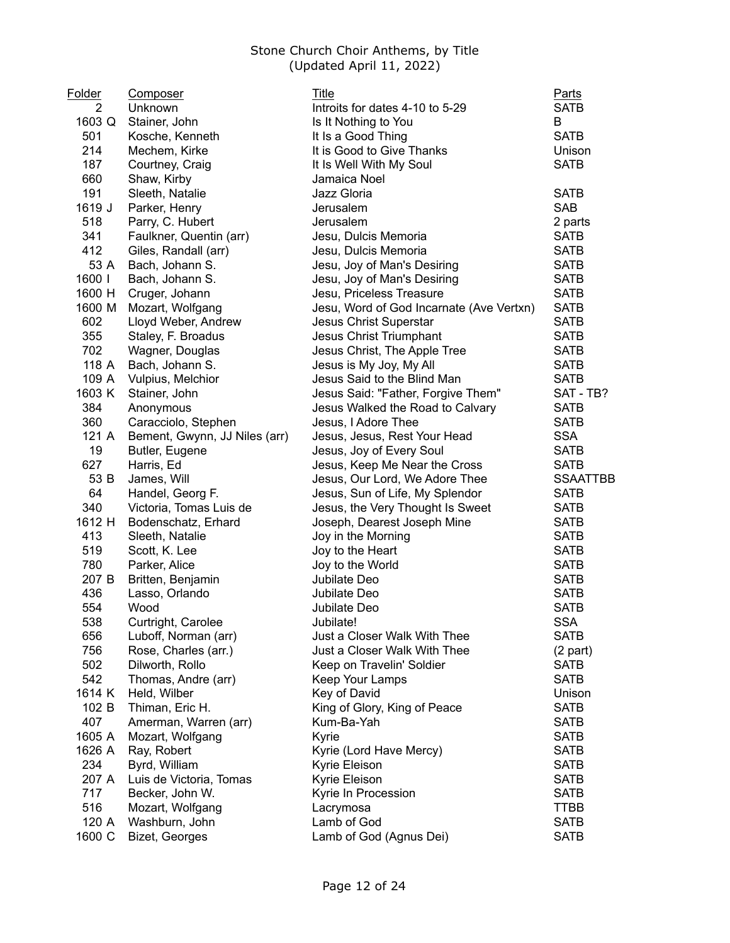| Folder | <b>Composer</b>               | Title                                    | Parts           |
|--------|-------------------------------|------------------------------------------|-----------------|
| 2      | Unknown                       | Introits for dates 4-10 to 5-29          | <b>SATB</b>     |
| 1603 Q | Stainer, John                 | Is It Nothing to You                     | Β               |
| 501    | Kosche, Kenneth               | It Is a Good Thing                       | <b>SATB</b>     |
| 214    | Mechem, Kirke                 | It is Good to Give Thanks                | Unison          |
| 187    | Courtney, Craig               | It Is Well With My Soul                  | <b>SATB</b>     |
| 660    | Shaw, Kirby                   | Jamaica Noel                             |                 |
| 191    | Sleeth, Natalie               | Jazz Gloria                              | <b>SATB</b>     |
| 1619 J | Parker, Henry                 | Jerusalem                                | <b>SAB</b>      |
| 518    | Parry, C. Hubert              | Jerusalem                                | 2 parts         |
| 341    | Faulkner, Quentin (arr)       | Jesu, Dulcis Memoria                     | <b>SATB</b>     |
| 412    | Giles, Randall (arr)          | Jesu, Dulcis Memoria                     | <b>SATB</b>     |
| 53 A   | Bach, Johann S.               | Jesu, Joy of Man's Desiring              | <b>SATB</b>     |
| 1600   | Bach, Johann S.               | Jesu, Joy of Man's Desiring              | <b>SATB</b>     |
| 1600 H | Cruger, Johann                | Jesu, Priceless Treasure                 | <b>SATB</b>     |
| 1600 M | Mozart, Wolfgang              | Jesu, Word of God Incarnate (Ave Vertxn) | <b>SATB</b>     |
| 602    | Lloyd Weber, Andrew           | Jesus Christ Superstar                   | <b>SATB</b>     |
| 355    | Staley, F. Broadus            | Jesus Christ Triumphant                  | <b>SATB</b>     |
| 702    | Wagner, Douglas               | Jesus Christ, The Apple Tree             | <b>SATB</b>     |
| 118 A  | Bach, Johann S.               | Jesus is My Joy, My All                  | <b>SATB</b>     |
| 109 A  | Vulpius, Melchior             | Jesus Said to the Blind Man              | <b>SATB</b>     |
| 1603 K | Stainer, John                 | Jesus Said: "Father, Forgive Them"       | SAT - TB?       |
| 384    | Anonymous                     | Jesus Walked the Road to Calvary         | <b>SATB</b>     |
| 360    | Caracciolo, Stephen           | Jesus, I Adore Thee                      | <b>SATB</b>     |
| 121 A  | Bement, Gwynn, JJ Niles (arr) | Jesus, Jesus, Rest Your Head             | <b>SSA</b>      |
| 19     | Butler, Eugene                | Jesus, Joy of Every Soul                 | <b>SATB</b>     |
| 627    | Harris, Ed                    | Jesus, Keep Me Near the Cross            | <b>SATB</b>     |
| 53 B   | James, Will                   |                                          | <b>SSAATTBB</b> |
| 64     |                               | Jesus, Our Lord, We Adore Thee           | <b>SATB</b>     |
| 340    | Handel, Georg F.              | Jesus, Sun of Life, My Splendor          |                 |
| 1612 H | Victoria, Tomas Luis de       | Jesus, the Very Thought Is Sweet         | <b>SATB</b>     |
|        | Bodenschatz, Erhard           | Joseph, Dearest Joseph Mine              | <b>SATB</b>     |
| 413    | Sleeth, Natalie               | Joy in the Morning                       | <b>SATB</b>     |
| 519    | Scott, K. Lee                 | Joy to the Heart                         | <b>SATB</b>     |
| 780    | Parker, Alice                 | Joy to the World                         | <b>SATB</b>     |
| 207 B  | Britten, Benjamin             | Jubilate Deo                             | <b>SATB</b>     |
| 436    | Lasso, Orlando                | Jubilate Deo                             | <b>SATB</b>     |
| 554    | Wood                          | Jubilate Deo                             | <b>SATB</b>     |
| 538    | Curtright, Carolee            | Jubilate!                                | SSA             |
| 656    | Luboff, Norman (arr)          | Just a Closer Walk With Thee             | <b>SATB</b>     |
| 756    | Rose, Charles (arr.)          | Just a Closer Walk With Thee             | $(2$ part)      |
| 502    | Dilworth, Rollo               | Keep on Travelin' Soldier                | <b>SATB</b>     |
| 542    | Thomas, Andre (arr)           | Keep Your Lamps                          | <b>SATB</b>     |
| 1614 K | Held, Wilber                  | Key of David                             | Unison          |
| 102 B  | Thiman, Eric H.               | King of Glory, King of Peace             | <b>SATB</b>     |
| 407    | Amerman, Warren (arr)         | Kum-Ba-Yah                               | <b>SATB</b>     |
| 1605 A | Mozart, Wolfgang              | Kyrie                                    | <b>SATB</b>     |
| 1626 A | Ray, Robert                   | Kyrie (Lord Have Mercy)                  | <b>SATB</b>     |
| 234    | Byrd, William                 | Kyrie Eleison                            | <b>SATB</b>     |
| 207 A  | Luis de Victoria, Tomas       | Kyrie Eleison                            | <b>SATB</b>     |
| 717    | Becker, John W.               | Kyrie In Procession                      | <b>SATB</b>     |
| 516    | Mozart, Wolfgang              | Lacrymosa                                | <b>TTBB</b>     |
| 120 A  | Washburn, John                | Lamb of God                              | <b>SATB</b>     |
| 1600 C | Bizet, Georges                | Lamb of God (Agnus Dei)                  | <b>SATB</b>     |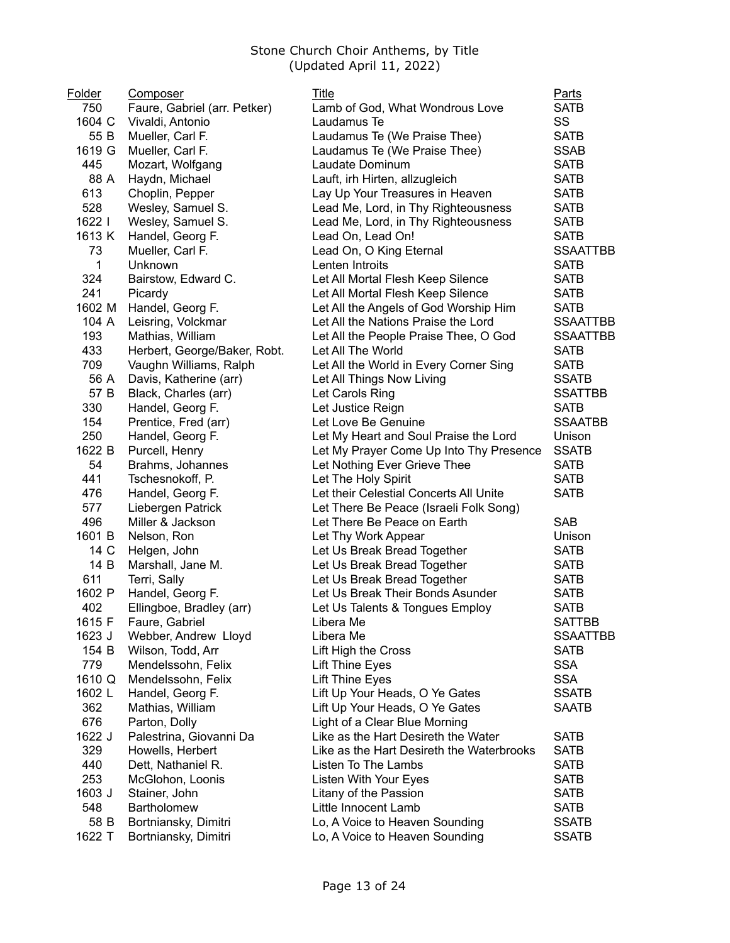| Folder | Composer                     | Title                                     | <b>Parts</b>    |
|--------|------------------------------|-------------------------------------------|-----------------|
| 750    | Faure, Gabriel (arr. Petker) | Lamb of God, What Wondrous Love           | <b>SATB</b>     |
| 1604 C | Vivaldi, Antonio             | Laudamus Te                               | SS              |
| 55 B   | Mueller, Carl F.             | Laudamus Te (We Praise Thee)              | <b>SATB</b>     |
| 1619 G | Mueller, Carl F.             | Laudamus Te (We Praise Thee)              | <b>SSAB</b>     |
| 445    | Mozart, Wolfgang             | Laudate Dominum                           | <b>SATB</b>     |
| 88 A   | Haydn, Michael               | Lauft, irh Hirten, allzugleich            | <b>SATB</b>     |
| 613    | Choplin, Pepper              | Lay Up Your Treasures in Heaven           | <b>SATB</b>     |
| 528    | Wesley, Samuel S.            | Lead Me, Lord, in Thy Righteousness       | <b>SATB</b>     |
| 1622   | Wesley, Samuel S.            | Lead Me, Lord, in Thy Righteousness       | <b>SATB</b>     |
| 1613 K | Handel, Georg F.             | Lead On, Lead On!                         | <b>SATB</b>     |
| 73     | Mueller, Carl F.             | Lead On, O King Eternal                   | <b>SSAATTBB</b> |
| 1      | Unknown                      | Lenten Introits                           | <b>SATB</b>     |
| 324    | Bairstow, Edward C.          | Let All Mortal Flesh Keep Silence         | <b>SATB</b>     |
| 241    | Picardy                      | Let All Mortal Flesh Keep Silence         | <b>SATB</b>     |
| 1602 M | Handel, Georg F.             | Let All the Angels of God Worship Him     | <b>SATB</b>     |
| 104 A  | Leisring, Volckmar           | Let All the Nations Praise the Lord       | <b>SSAATTBB</b> |
| 193    | Mathias, William             | Let All the People Praise Thee, O God     | <b>SSAATTBB</b> |
| 433    | Herbert, George/Baker, Robt. | Let All The World                         | <b>SATB</b>     |
| 709    | Vaughn Williams, Ralph       | Let All the World in Every Corner Sing    | <b>SATB</b>     |
| 56 A   | Davis, Katherine (arr)       | Let All Things Now Living                 | <b>SSATB</b>    |
| 57 B   | Black, Charles (arr)         | Let Carols Ring                           | <b>SSATTBB</b>  |
| 330    | Handel, Georg F.             | Let Justice Reign                         | <b>SATB</b>     |
| 154    | Prentice, Fred (arr)         | Let Love Be Genuine                       | <b>SSAATBB</b>  |
| 250    | Handel, Georg F.             | Let My Heart and Soul Praise the Lord     | Unison          |
| 1622 B | Purcell, Henry               | Let My Prayer Come Up Into Thy Presence   | <b>SSATB</b>    |
| 54     | Brahms, Johannes             | Let Nothing Ever Grieve Thee              | <b>SATB</b>     |
| 441    | Tschesnokoff, P.             | Let The Holy Spirit                       | <b>SATB</b>     |
| 476    | Handel, Georg F.             | Let their Celestial Concerts All Unite    | <b>SATB</b>     |
| 577    | Liebergen Patrick            | Let There Be Peace (Israeli Folk Song)    |                 |
| 496    | Miller & Jackson             | Let There Be Peace on Earth               | <b>SAB</b>      |
| 1601 B | Nelson, Ron                  | Let Thy Work Appear                       | Unison          |
| 14 C   | Helgen, John                 | Let Us Break Bread Together               | <b>SATB</b>     |
| 14 B   | Marshall, Jane M.            | Let Us Break Bread Together               | <b>SATB</b>     |
| 611    | Terri, Sally                 | Let Us Break Bread Together               | <b>SATB</b>     |
| 1602 P | Handel, Georg F.             | Let Us Break Their Bonds Asunder          | <b>SATB</b>     |
| 402    | Ellingboe, Bradley (arr)     | Let Us Talents & Tongues Employ           | <b>SATB</b>     |
| 1615 F | Faure, Gabriel               | Libera Me                                 | <b>SATTBB</b>   |
| 1623 J | Webber, Andrew Lloyd         | Libera Me                                 | <b>SSAATTBB</b> |
| 154 B  | Wilson, Todd, Arr            | Lift High the Cross                       | <b>SATB</b>     |
| 779    | Mendelssohn, Felix           | Lift Thine Eyes                           | <b>SSA</b>      |
| 1610 Q | Mendelssohn, Felix           | <b>Lift Thine Eyes</b>                    | <b>SSA</b>      |
| 1602L  | Handel, Georg F.             | Lift Up Your Heads, O Ye Gates            | <b>SSATB</b>    |
| 362    | Mathias, William             | Lift Up Your Heads, O Ye Gates            | <b>SAATB</b>    |
| 676    | Parton, Dolly                | Light of a Clear Blue Morning             |                 |
| 1622 J | Palestrina, Giovanni Da      | Like as the Hart Desireth the Water       | <b>SATB</b>     |
| 329    | Howells, Herbert             | Like as the Hart Desireth the Waterbrooks | <b>SATB</b>     |
| 440    | Dett, Nathaniel R.           |                                           | <b>SATB</b>     |
| 253    |                              | Listen To The Lambs                       |                 |
| 1603 J | McGlohon, Loonis             | Listen With Your Eyes                     | <b>SATB</b>     |
|        | Stainer, John                | Litany of the Passion                     | <b>SATB</b>     |
| 548    | Bartholomew                  | Little Innocent Lamb                      | <b>SATB</b>     |
| 58 B   | Bortniansky, Dimitri         | Lo, A Voice to Heaven Sounding            | <b>SSATB</b>    |
| 1622 T | Bortniansky, Dimitri         | Lo, A Voice to Heaven Sounding            | <b>SSATB</b>    |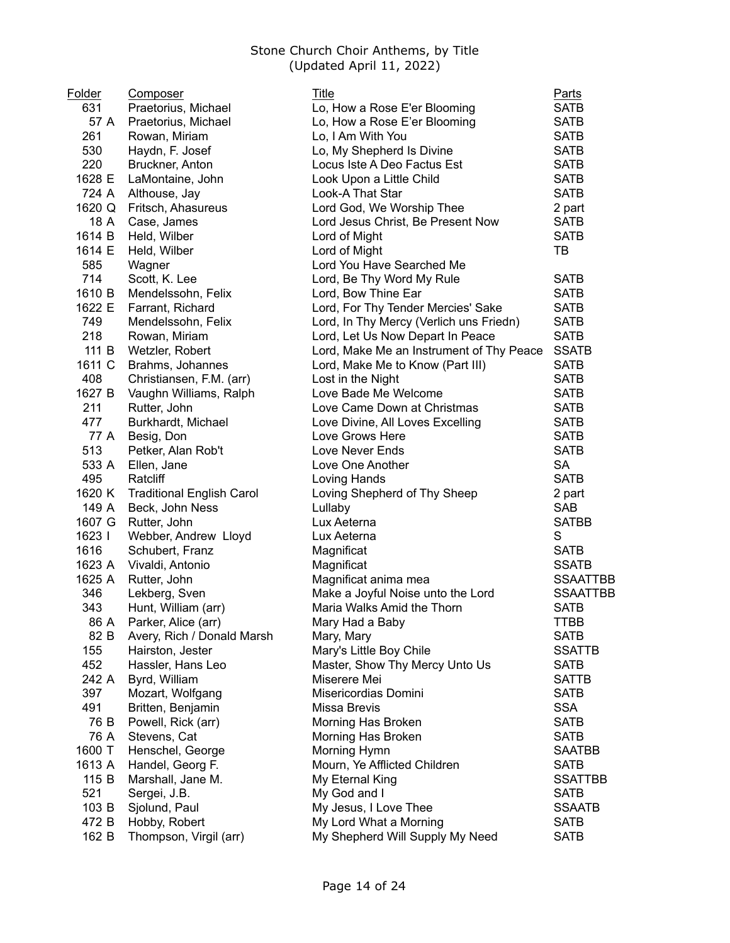| <u>Folder</u> | Composer                         | Title                                    | <b>Parts</b>    |
|---------------|----------------------------------|------------------------------------------|-----------------|
| 631           | Praetorius, Michael              | Lo, How a Rose E'er Blooming             | <b>SATB</b>     |
| 57 A          | Praetorius, Michael              | Lo, How a Rose E'er Blooming             | <b>SATB</b>     |
| 261           | Rowan, Miriam                    | Lo, I Am With You                        | <b>SATB</b>     |
| 530           | Haydn, F. Josef                  | Lo, My Shepherd Is Divine                | <b>SATB</b>     |
| 220           | Bruckner, Anton                  | Locus Iste A Deo Factus Est              | <b>SATB</b>     |
| 1628 E        | LaMontaine, John                 | Look Upon a Little Child                 | <b>SATB</b>     |
| 724 A         | Althouse, Jay                    | Look-A That Star                         | <b>SATB</b>     |
| 1620 Q        | Fritsch, Ahasureus               | Lord God, We Worship Thee                | 2 part          |
| 18 A          | Case, James                      | Lord Jesus Christ, Be Present Now        | <b>SATB</b>     |
| 1614 B        | Held, Wilber                     | Lord of Might                            | <b>SATB</b>     |
| 1614 E        | Held, Wilber                     | Lord of Might                            | TB              |
| 585           | Wagner                           | Lord You Have Searched Me                |                 |
| 714           | Scott, K. Lee                    | Lord, Be Thy Word My Rule                | <b>SATB</b>     |
| 1610 B        | Mendelssohn, Felix               | Lord, Bow Thine Ear                      | <b>SATB</b>     |
| 1622 E        | Farrant, Richard                 | Lord, For Thy Tender Mercies' Sake       | <b>SATB</b>     |
| 749           | Mendelssohn, Felix               | Lord, In Thy Mercy (Verlich uns Friedn)  | <b>SATB</b>     |
| 218           | Rowan, Miriam                    | Lord, Let Us Now Depart In Peace         | <b>SATB</b>     |
| 111 B         | Wetzler, Robert                  | Lord, Make Me an Instrument of Thy Peace | <b>SSATB</b>    |
| 1611 C        | Brahms, Johannes                 | Lord, Make Me to Know (Part III)         | <b>SATB</b>     |
| 408           | Christiansen, F.M. (arr)         | Lost in the Night                        | <b>SATB</b>     |
| 1627 B        | Vaughn Williams, Ralph           | Love Bade Me Welcome                     | <b>SATB</b>     |
| 211           | Rutter, John                     | Love Came Down at Christmas              | <b>SATB</b>     |
| 477           | Burkhardt, Michael               | Love Divine, All Loves Excelling         | <b>SATB</b>     |
| 77 A          | Besig, Don                       | Love Grows Here                          | <b>SATB</b>     |
| 513           | Petker, Alan Rob't               | Love Never Ends                          | <b>SATB</b>     |
| 533 A         | Ellen, Jane                      | Love One Another                         | <b>SA</b>       |
| 495           | Ratcliff                         | Loving Hands                             | <b>SATB</b>     |
| 1620 K        | <b>Traditional English Carol</b> | Loving Shepherd of Thy Sheep             | 2 part          |
| 149 A         | Beck, John Ness                  | Lullaby                                  | <b>SAB</b>      |
| 1607 G        | Rutter, John                     | Lux Aeterna                              | <b>SATBB</b>    |
| 1623          | Webber, Andrew Lloyd             | Lux Aeterna                              | S               |
| 1616          | Schubert, Franz                  | Magnificat                               | <b>SATB</b>     |
| 1623 A        | Vivaldi, Antonio                 | Magnificat                               | <b>SSATB</b>    |
| 1625 A        | Rutter, John                     | Magnificat anima mea                     | <b>SSAATTBB</b> |
| 346           | Lekberg, Sven                    | Make a Joyful Noise unto the Lord        | <b>SSAATTBB</b> |
| 343           | Hunt, William (arr)              | Maria Walks Amid the Thorn               | <b>SATB</b>     |
|               | 86 A Parker, Alice (arr)         | Mary Had a Baby                          | <b>TTBB</b>     |
| 82 B          | Avery, Rich / Donald Marsh       | Mary, Mary                               | <b>SATB</b>     |
| 155           | Hairston, Jester                 | Mary's Little Boy Chile                  | <b>SSATTB</b>   |
| 452           | Hassler, Hans Leo                | Master, Show Thy Mercy Unto Us           | <b>SATB</b>     |
| 242 A         | Byrd, William                    | Miserere Mei                             | <b>SATTB</b>    |
| 397           | Mozart, Wolfgang                 | Misericordias Domini                     | <b>SATB</b>     |
| 491           | Britten, Benjamin                | Missa Brevis                             | <b>SSA</b>      |
| 76 B          | Powell, Rick (arr)               | Morning Has Broken                       | <b>SATB</b>     |
| 76 A          | Stevens, Cat                     | Morning Has Broken                       | <b>SATB</b>     |
| 1600 T        | Henschel, George                 | Morning Hymn                             | <b>SAATBB</b>   |
| 1613 A        | Handel, Georg F.                 | Mourn, Ye Afflicted Children             | <b>SATB</b>     |
| 115 B         | Marshall, Jane M.                | My Eternal King                          | <b>SSATTBB</b>  |
| 521           | Sergei, J.B.                     | My God and I                             | <b>SATB</b>     |
| 103 B         | Sjolund, Paul                    | My Jesus, I Love Thee                    | <b>SSAATB</b>   |
| 472 B         | Hobby, Robert                    | My Lord What a Morning                   | <b>SATB</b>     |
| 162 B         | Thompson, Virgil (arr)           | My Shepherd Will Supply My Need          | <b>SATB</b>     |
|               |                                  |                                          |                 |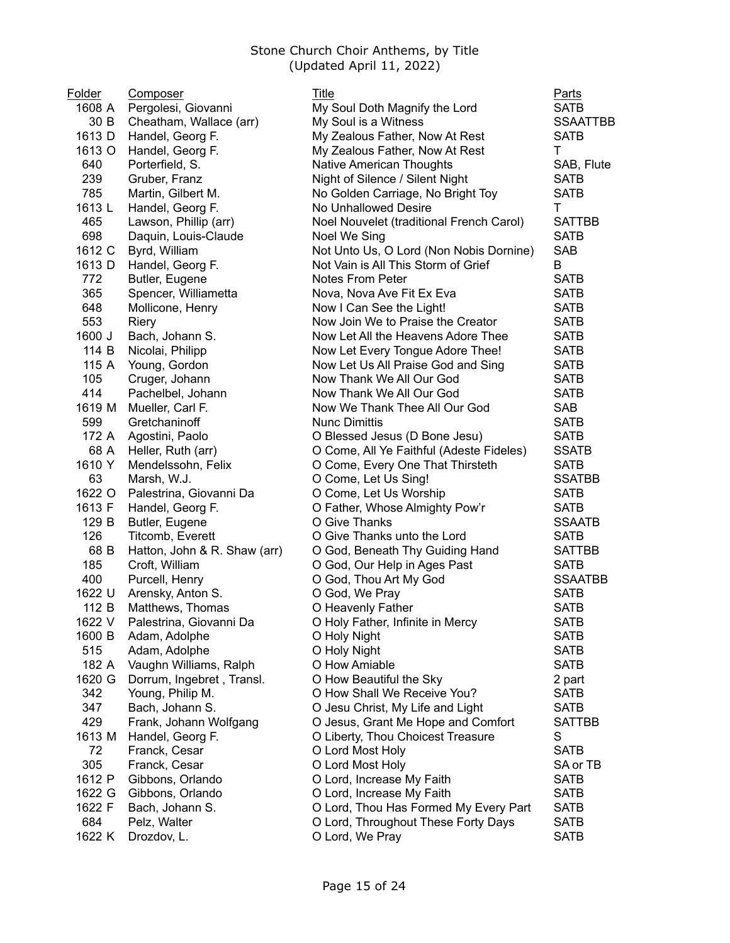| <b>Folder</b> | Composer                     | Title                                    | <b>Parts</b>    |
|---------------|------------------------------|------------------------------------------|-----------------|
| 1608 A        | Pergolesi, Giovanni          | My Soul Doth Magnify the Lord            | <b>SATB</b>     |
| 30 B          | Cheatham, Wallace (arr)      | My Soul is a Witness                     | <b>SSAATTBB</b> |
| 1613 D        | Handel, Georg F.             | My Zealous Father, Now At Rest           | <b>SATB</b>     |
| 1613 O        | Handel, Georg F.             | My Zealous Father, Now At Rest           | T.              |
| 640           | Porterfield, S.              | <b>Native American Thoughts</b>          | SAB, Flute      |
| 239           | Gruber, Franz                | Night of Silence / Silent Night          | <b>SATB</b>     |
| 785           | Martin, Gilbert M.           | No Golden Carriage, No Bright Toy        | <b>SATB</b>     |
| 1613L         | Handel, Georg F.             | No Unhallowed Desire                     | T.              |
| 465           | Lawson, Phillip (arr)        | Noel Nouvelet (traditional French Carol) | <b>SATTBB</b>   |
| 698           | Daquin, Louis-Claude         | Noel We Sing                             | <b>SATB</b>     |
| 1612 C        | Byrd, William                | Not Unto Us, O Lord (Non Nobis Dornine)  | <b>SAB</b>      |
| 1613 D        | Handel, Georg F.             | Not Vain is All This Storm of Grief      | B               |
| 772           | Butler, Eugene               | <b>Notes From Peter</b>                  | <b>SATB</b>     |
| 365           | Spencer, Williametta         | Nova, Nova Ave Fit Ex Eva                | <b>SATB</b>     |
| 648           | Mollicone, Henry             | Now I Can See the Light!                 | <b>SATB</b>     |
| 553           | Riery                        | Now Join We to Praise the Creator        | <b>SATB</b>     |
| 1600 J        | Bach, Johann S.              | Now Let All the Heavens Adore Thee       | <b>SATB</b>     |
| 114 B         | Nicolai, Philipp             | Now Let Every Tongue Adore Thee!         | <b>SATB</b>     |
| 115 A         | Young, Gordon                | Now Let Us All Praise God and Sing       | <b>SATB</b>     |
| 105           | Cruger, Johann               | Now Thank We All Our God                 | <b>SATB</b>     |
| 414           | Pachelbel, Johann            | Now Thank We All Our God                 | <b>SATB</b>     |
| 1619 M        | Mueller, Carl F.             | Now We Thank Thee All Our God            | <b>SAB</b>      |
| 599           | Gretchaninoff                | <b>Nunc Dimittis</b>                     | <b>SATB</b>     |
| 172 A         | Agostini, Paolo              | O Blessed Jesus (D Bone Jesu)            | <b>SATB</b>     |
| 68 A          | Heller, Ruth (arr)           | O Come, All Ye Faithful (Adeste Fideles) | <b>SSATB</b>    |
| 1610 Y        | Mendelssohn, Felix           | O Come, Every One That Thirsteth         | <b>SATB</b>     |
| 63            | Marsh, W.J.                  | O Come, Let Us Sing!                     | <b>SSATBB</b>   |
| 1622 O        | Palestrina, Giovanni Da      | O Come, Let Us Worship                   | <b>SATB</b>     |
| 1613 F        | Handel, Georg F.             | O Father, Whose Almighty Pow'r           | <b>SATB</b>     |
| 129 B         | Butler, Eugene               | O Give Thanks                            | <b>SSAATB</b>   |
| 126           | Titcomb, Everett             | O Give Thanks unto the Lord              | <b>SATB</b>     |
| 68 B          | Hatton, John & R. Shaw (arr) | O God, Beneath Thy Guiding Hand          | <b>SATTBB</b>   |
| 185           | Croft, William               | O God, Our Help in Ages Past             | <b>SATB</b>     |
| 400           | Purcell, Henry               | O God, Thou Art My God                   | <b>SSAATBB</b>  |
| 1622 U        | Arensky, Anton S.            | O God, We Pray                           | <b>SATB</b>     |
| 112 B         | Matthews, Thomas             | O Heavenly Father                        | <b>SATB</b>     |
| 1622 V        | Palestrina, Giovanni Da      | O Holy Father, Infinite in Mercy         | <b>SATB</b>     |
| 1600 B        | Adam, Adolphe                | O Holy Night                             | <b>SATB</b>     |
| 515           | Adam, Adolphe                | O Holy Night                             | <b>SATB</b>     |
| 182 A         | Vaughn Williams, Ralph       | O How Amiable                            | <b>SATB</b>     |
| 1620 G        | Dorrum, Ingebret, Transl.    | O How Beautiful the Sky                  | 2 part          |
| 342           | Young, Philip M.             | O How Shall We Receive You?              | <b>SATB</b>     |
| 347           | Bach, Johann S.              | O Jesu Christ, My Life and Light         | <b>SATB</b>     |
| 429           | Frank, Johann Wolfgang       | O Jesus, Grant Me Hope and Comfort       | <b>SATTBB</b>   |
| 1613 M        | Handel, Georg F.             | O Liberty, Thou Choicest Treasure        | S               |
| 72            | Franck, Cesar                | O Lord Most Holy                         | <b>SATB</b>     |
| 305           | Franck, Cesar                | O Lord Most Holy                         | SA or TB        |
| 1612 P        | Gibbons, Orlando             | O Lord, Increase My Faith                | <b>SATB</b>     |
| 1622 G        | Gibbons, Orlando             | O Lord, Increase My Faith                | <b>SATB</b>     |
| 1622 F        | Bach, Johann S.              | O Lord, Thou Has Formed My Every Part    | <b>SATB</b>     |
| 684           | Pelz, Walter                 | O Lord, Throughout These Forty Days      | <b>SATB</b>     |
| 1622 K        | Drozdov, L.                  | O Lord, We Pray                          | <b>SATB</b>     |
|               |                              |                                          |                 |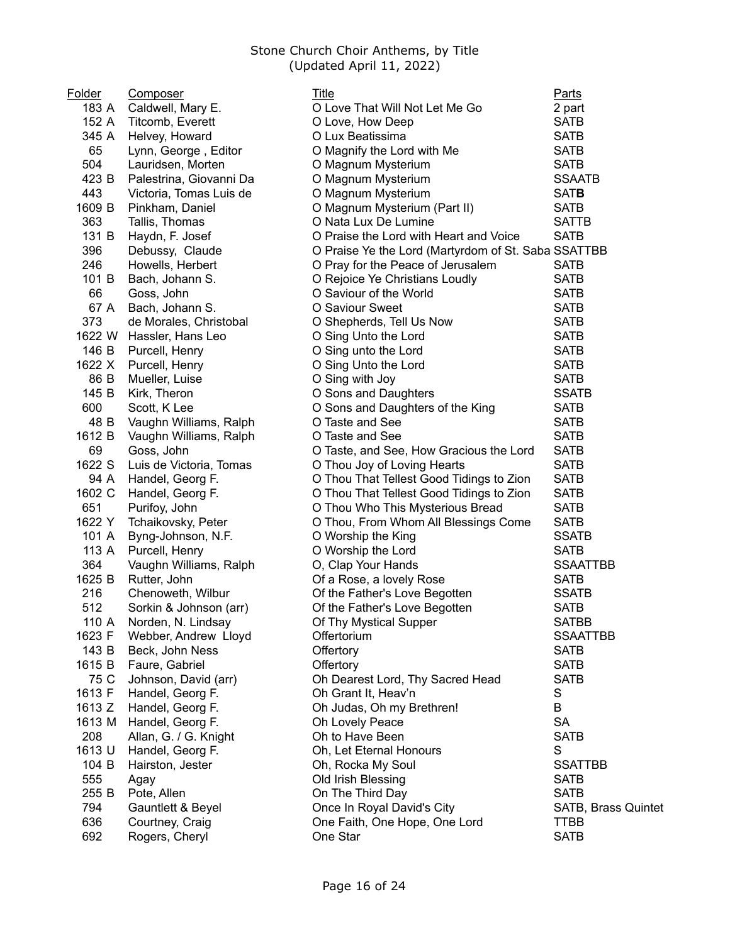| Folder | Composer                | Title                                               | <u>Parts</u>        |
|--------|-------------------------|-----------------------------------------------------|---------------------|
| 183 A  | Caldwell, Mary E.       | O Love That Will Not Let Me Go                      | 2 part              |
| 152 A  | Titcomb, Everett        | O Love, How Deep                                    | <b>SATB</b>         |
| 345 A  | Helvey, Howard          | O Lux Beatissima                                    | <b>SATB</b>         |
| 65     | Lynn, George, Editor    | O Magnify the Lord with Me                          | <b>SATB</b>         |
| 504    | Lauridsen, Morten       | O Magnum Mysterium                                  | <b>SATB</b>         |
| 423 B  | Palestrina, Giovanni Da | O Magnum Mysterium                                  | <b>SSAATB</b>       |
| 443    | Victoria, Tomas Luis de | O Magnum Mysterium                                  | <b>SATB</b>         |
| 1609 B | Pinkham, Daniel         | O Magnum Mysterium (Part II)                        | <b>SATB</b>         |
| 363    | Tallis, Thomas          | O Nata Lux De Lumine                                | <b>SATTB</b>        |
| 131 B  | Haydn, F. Josef         | O Praise the Lord with Heart and Voice              | <b>SATB</b>         |
| 396    | Debussy, Claude         | O Praise Ye the Lord (Martyrdom of St. Saba SSATTBB |                     |
| 246    | Howells, Herbert        | O Pray for the Peace of Jerusalem                   | <b>SATB</b>         |
| 101 B  | Bach, Johann S.         | O Rejoice Ye Christians Loudly                      | <b>SATB</b>         |
| 66     | Goss, John              | O Saviour of the World                              | <b>SATB</b>         |
| 67 A   | Bach, Johann S.         | O Saviour Sweet                                     | <b>SATB</b>         |
| 373    | de Morales, Christobal  | O Shepherds, Tell Us Now                            | <b>SATB</b>         |
| 1622 W | Hassler, Hans Leo       | O Sing Unto the Lord                                | <b>SATB</b>         |
| 146 B  | Purcell, Henry          | O Sing unto the Lord                                | <b>SATB</b>         |
| 1622 X | Purcell, Henry          | O Sing Unto the Lord                                | <b>SATB</b>         |
| 86 B   | Mueller, Luise          | O Sing with Joy                                     | <b>SATB</b>         |
| 145 B  | Kirk, Theron            | O Sons and Daughters                                | <b>SSATB</b>        |
| 600    | Scott, K Lee            | O Sons and Daughters of the King                    | <b>SATB</b>         |
| 48 B   | Vaughn Williams, Ralph  | O Taste and See                                     | <b>SATB</b>         |
| 1612 B | Vaughn Williams, Ralph  | O Taste and See                                     | <b>SATB</b>         |
| 69     | Goss, John              | O Taste, and See, How Gracious the Lord             | <b>SATB</b>         |
| 1622 S | Luis de Victoria, Tomas | O Thou Joy of Loving Hearts                         | <b>SATB</b>         |
| 94 A   | Handel, Georg F.        | O Thou That Tellest Good Tidings to Zion            | <b>SATB</b>         |
| 1602 C | Handel, Georg F.        | O Thou That Tellest Good Tidings to Zion            | <b>SATB</b>         |
| 651    | Purifoy, John           | O Thou Who This Mysterious Bread                    | <b>SATB</b>         |
| 1622 Y | Tchaikovsky, Peter      | O Thou, From Whom All Blessings Come                | <b>SATB</b>         |
| 101 A  | Byng-Johnson, N.F.      | O Worship the King                                  | <b>SSATB</b>        |
| 113 A  | Purcell, Henry          | O Worship the Lord                                  | <b>SATB</b>         |
| 364    | Vaughn Williams, Ralph  | O, Clap Your Hands                                  | <b>SSAATTBB</b>     |
| 1625 B | Rutter, John            | Of a Rose, a lovely Rose                            | <b>SATB</b>         |
| 216    | Chenoweth, Wilbur       | Of the Father's Love Begotten                       | <b>SSATB</b>        |
| 512    | Sorkin & Johnson (arr)  | Of the Father's Love Begotten                       | <b>SATB</b>         |
| 110 A  | Norden, N. Lindsay      | Of Thy Mystical Supper                              | <b>SATBB</b>        |
| 1623 F | Webber, Andrew Lloyd    | Offertorium                                         | <b>SSAATTBB</b>     |
| 143 B  | Beck, John Ness         | Offertory                                           | <b>SATB</b>         |
| 1615 B | Faure, Gabriel          | Offertory                                           | <b>SATB</b>         |
| 75 C   | Johnson, David (arr)    | Oh Dearest Lord, Thy Sacred Head                    | <b>SATB</b>         |
| 1613 F | Handel, Georg F.        | Oh Grant It, Heav'n                                 | S                   |
| 1613 Z | Handel, Georg F.        | Oh Judas, Oh my Brethren!                           | B                   |
| 1613 M | Handel, Georg F.        | Oh Lovely Peace                                     | <b>SA</b>           |
| 208    | Allan, G. / G. Knight   | Oh to Have Been                                     | <b>SATB</b>         |
| 1613 U | Handel, Georg F.        | Oh, Let Eternal Honours                             | S                   |
| 104 B  | Hairston, Jester        | Oh, Rocka My Soul                                   | <b>SSATTBB</b>      |
| 555    | Agay                    | Old Irish Blessing                                  | <b>SATB</b>         |
| 255 B  | Pote, Allen             | On The Third Day                                    | <b>SATB</b>         |
| 794    | Gauntlett & Beyel       | Once In Royal David's City                          | SATB, Brass Quintet |
| 636    | Courtney, Craig         | One Faith, One Hope, One Lord                       | TTBB                |
| 692    | Rogers, Cheryl          | One Star                                            | <b>SATB</b>         |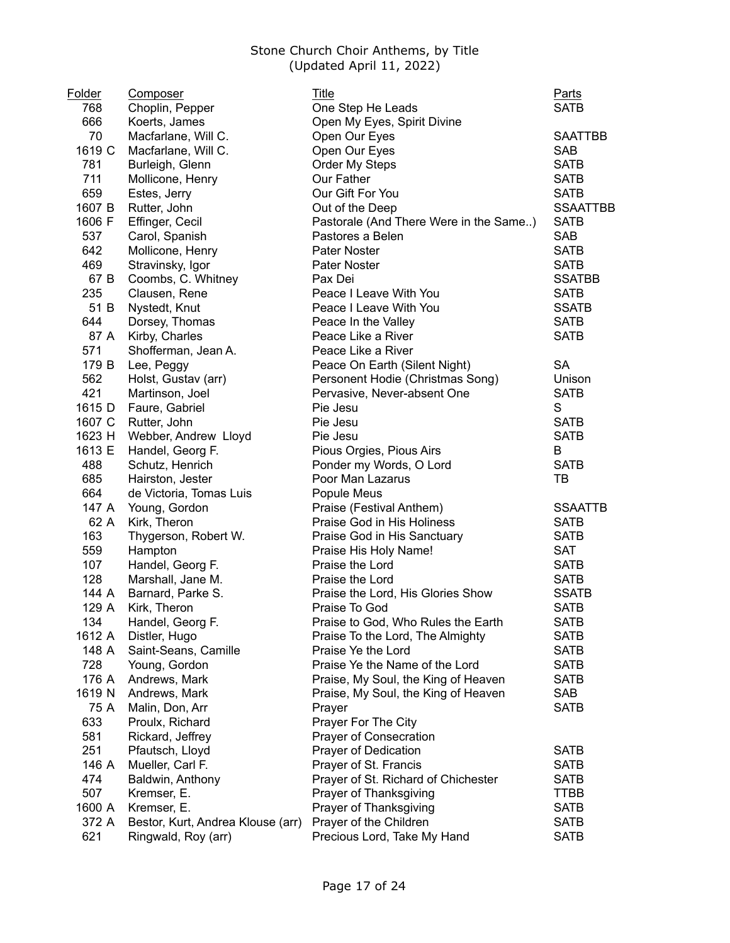| <b>Folder</b> | Composer                          | Title                                  | Parts           |
|---------------|-----------------------------------|----------------------------------------|-----------------|
| 768           | Choplin, Pepper                   | One Step He Leads                      | <b>SATB</b>     |
| 666           | Koerts, James                     | Open My Eyes, Spirit Divine            |                 |
| 70            | Macfarlane, Will C.               | Open Our Eyes                          | <b>SAATTBB</b>  |
| 1619 C        | Macfarlane, Will C.               | Open Our Eyes                          | <b>SAB</b>      |
| 781           | Burleigh, Glenn                   | Order My Steps                         | <b>SATB</b>     |
| 711           | Mollicone, Henry                  | Our Father                             | <b>SATB</b>     |
| 659           | Estes, Jerry                      | Our Gift For You                       | <b>SATB</b>     |
| 1607 B        | Rutter, John                      | Out of the Deep                        | <b>SSAATTBB</b> |
| 1606 F        | Effinger, Cecil                   | Pastorale (And There Were in the Same) | <b>SATB</b>     |
| 537           | Carol, Spanish                    | Pastores a Belen                       | <b>SAB</b>      |
| 642           | Mollicone, Henry                  | Pater Noster                           | <b>SATB</b>     |
| 469           | Stravinsky, Igor                  | <b>Pater Noster</b>                    | <b>SATB</b>     |
| 67 B          | Coombs, C. Whitney                | Pax Dei                                | <b>SSATBB</b>   |
| 235           | Clausen, Rene                     | Peace I Leave With You                 | <b>SATB</b>     |
| 51 B          | Nystedt, Knut                     | Peace I Leave With You                 | <b>SSATB</b>    |
| 644           | Dorsey, Thomas                    | Peace In the Valley                    | <b>SATB</b>     |
| 87 A          | Kirby, Charles                    | Peace Like a River                     | <b>SATB</b>     |
| 571           | Shofferman, Jean A.               | Peace Like a River                     |                 |
| 179 B         | Lee, Peggy                        | Peace On Earth (Silent Night)          | <b>SA</b>       |
| 562           | Holst, Gustav (arr)               | Personent Hodie (Christmas Song)       | Unison          |
| 421           | Martinson, Joel                   | Pervasive, Never-absent One            | <b>SATB</b>     |
| 1615 D        | Faure, Gabriel                    | Pie Jesu                               | S               |
| 1607 C        | Rutter, John                      | Pie Jesu                               | <b>SATB</b>     |
| 1623 H        | Webber, Andrew Lloyd              | Pie Jesu                               | <b>SATB</b>     |
| 1613 E        | Handel, Georg F.                  | Pious Orgies, Pious Airs               | B               |
| 488           | Schutz, Henrich                   | Ponder my Words, O Lord                | <b>SATB</b>     |
| 685           |                                   | Poor Man Lazarus                       | TB              |
| 664           | Hairston, Jester                  |                                        |                 |
|               | de Victoria, Tomas Luis           | Popule Meus                            |                 |
| 147 A         | Young, Gordon                     | Praise (Festival Anthem)               | <b>SSAATTB</b>  |
| 62 A          | Kirk, Theron                      | Praise God in His Holiness             | <b>SATB</b>     |
| 163           | Thygerson, Robert W.              | Praise God in His Sanctuary            | <b>SATB</b>     |
| 559           | Hampton                           | Praise His Holy Name!                  | <b>SAT</b>      |
| 107           | Handel, Georg F.                  | Praise the Lord                        | <b>SATB</b>     |
| 128           | Marshall, Jane M.                 | Praise the Lord                        | <b>SATB</b>     |
| 144 A         | Barnard, Parke S.                 | Praise the Lord, His Glories Show      | <b>SSATB</b>    |
| 129 A         | Kirk, Theron                      | Praise To God                          | <b>SATB</b>     |
| 134           | Handel, Georg F.                  | Praise to God, Who Rules the Earth     | SATB            |
| 1612 A        | Distler, Hugo                     | Praise To the Lord, The Almighty       | <b>SATB</b>     |
| 148 A         | Saint-Seans, Camille              | Praise Ye the Lord                     | <b>SATB</b>     |
| 728           | Young, Gordon                     | Praise Ye the Name of the Lord         | <b>SATB</b>     |
| 176 A         | Andrews, Mark                     | Praise, My Soul, the King of Heaven    | <b>SATB</b>     |
| 1619 N        | Andrews, Mark                     | Praise, My Soul, the King of Heaven    | SAB             |
| 75 A          | Malin, Don, Arr                   | Prayer                                 | <b>SATB</b>     |
| 633           | Proulx, Richard                   | Prayer For The City                    |                 |
| 581           | Rickard, Jeffrey                  | Prayer of Consecration                 |                 |
| 251           | Pfautsch, Lloyd                   | Prayer of Dedication                   | <b>SATB</b>     |
| 146 A         | Mueller, Carl F.                  | Prayer of St. Francis                  | <b>SATB</b>     |
| 474           | Baldwin, Anthony                  | Prayer of St. Richard of Chichester    | <b>SATB</b>     |
| 507           | Kremser, E.                       | Prayer of Thanksgiving                 | <b>TTBB</b>     |
| 1600 A        | Kremser, E.                       | Prayer of Thanksgiving                 | <b>SATB</b>     |
| 372 A         | Bestor, Kurt, Andrea Klouse (arr) | Prayer of the Children                 | <b>SATB</b>     |
| 621           | Ringwald, Roy (arr)               | Precious Lord, Take My Hand            | <b>SATB</b>     |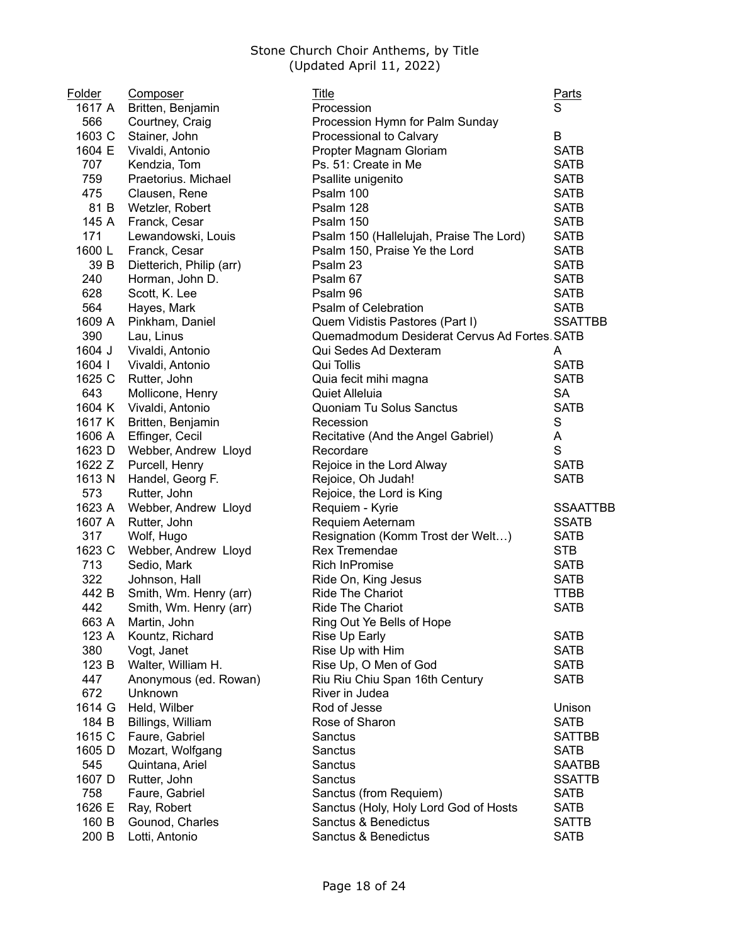| Folder | Composer                 | Title                                       | Parts           |
|--------|--------------------------|---------------------------------------------|-----------------|
| 1617 A | Britten, Benjamin        | Procession                                  | S               |
| 566    | Courtney, Craig          | Procession Hymn for Palm Sunday             |                 |
| 1603 C | Stainer, John            | Processional to Calvary                     | B               |
| 1604 E | Vivaldi, Antonio         | Propter Magnam Gloriam                      | <b>SATB</b>     |
| 707    | Kendzia, Tom             | Ps. 51: Create in Me                        | <b>SATB</b>     |
| 759    | Praetorius. Michael      | Psallite unigenito                          | <b>SATB</b>     |
| 475    | Clausen, Rene            | Psalm 100                                   | <b>SATB</b>     |
| 81 B   | Wetzler, Robert          | Psalm 128                                   | <b>SATB</b>     |
| 145 A  | Franck, Cesar            | Psalm 150                                   | <b>SATB</b>     |
| 171    | Lewandowski, Louis       | Psalm 150 (Hallelujah, Praise The Lord)     | <b>SATB</b>     |
| 1600L  | Franck, Cesar            | Psalm 150, Praise Ye the Lord               | <b>SATB</b>     |
| 39 B   | Dietterich, Philip (arr) | Psalm 23                                    | <b>SATB</b>     |
| 240    | Horman, John D.          | Psalm 67                                    | <b>SATB</b>     |
| 628    | Scott, K. Lee            | Psalm 96                                    | <b>SATB</b>     |
| 564    | Hayes, Mark              | Psalm of Celebration                        | <b>SATB</b>     |
| 1609 A | Pinkham, Daniel          | Quem Vidistis Pastores (Part I)             | <b>SSATTBB</b>  |
| 390    | Lau, Linus               | Quemadmodum Desiderat Cervus Ad Fortes SATB |                 |
| 1604 J | Vivaldi, Antonio         | Qui Sedes Ad Dexteram                       | A               |
| 1604   | Vivaldi, Antonio         | Qui Tollis                                  | <b>SATB</b>     |
| 1625 C | Rutter, John             | Quia fecit mihi magna                       | <b>SATB</b>     |
| 643    | Mollicone, Henry         | Quiet Alleluia                              | <b>SA</b>       |
| 1604 K | Vivaldi, Antonio         | Quoniam Tu Solus Sanctus                    | <b>SATB</b>     |
| 1617 K | Britten, Benjamin        | Recession                                   | S               |
| 1606 A | Effinger, Cecil          | Recitative (And the Angel Gabriel)          | Α               |
| 1623 D | Webber, Andrew Lloyd     | Recordare                                   | S               |
| 1622 Z | Purcell, Henry           | Rejoice in the Lord Alway                   | <b>SATB</b>     |
| 1613 N | Handel, Georg F.         | Rejoice, Oh Judah!                          | <b>SATB</b>     |
| 573    | Rutter, John             | Rejoice, the Lord is King                   |                 |
| 1623 A | Webber, Andrew Lloyd     | Requiem - Kyrie                             | <b>SSAATTBB</b> |
| 1607 A | Rutter, John             | Requiem Aeternam                            | <b>SSATB</b>    |
| 317    | Wolf, Hugo               | Resignation (Komm Trost der Welt)           | <b>SATB</b>     |
| 1623 C | Webber, Andrew Lloyd     | Rex Tremendae                               | <b>STB</b>      |
| 713    | Sedio, Mark              | <b>Rich InPromise</b>                       | <b>SATB</b>     |
| 322    | Johnson, Hall            | Ride On, King Jesus                         | <b>SATB</b>     |
| 442 B  | Smith, Wm. Henry (arr)   | <b>Ride The Chariot</b>                     | <b>TTBB</b>     |
| 442    | Smith, Wm. Henry (arr)   | <b>Ride The Chariot</b>                     | <b>SATB</b>     |
| 663 A  | Martin, John             | Ring Out Ye Bells of Hope                   |                 |
| 123 A  | Kountz, Richard          | Rise Up Early                               | <b>SATB</b>     |
| 380    | Vogt, Janet              | Rise Up with Him                            | <b>SATB</b>     |
| 123 B  | Walter, William H.       | Rise Up, O Men of God                       | <b>SATB</b>     |
| 447    | Anonymous (ed. Rowan)    | Riu Riu Chiu Span 16th Century              | <b>SATB</b>     |
| 672    | Unknown                  | River in Judea                              |                 |
| 1614 G | Held, Wilber             | Rod of Jesse                                | Unison          |
| 184 B  | Billings, William        | Rose of Sharon                              | <b>SATB</b>     |
| 1615 C | Faure, Gabriel           | Sanctus                                     | <b>SATTBB</b>   |
| 1605 D | Mozart, Wolfgang         | Sanctus                                     | <b>SATB</b>     |
| 545    | Quintana, Ariel          | Sanctus                                     | <b>SAATBB</b>   |
| 1607 D | Rutter, John             | Sanctus                                     | <b>SSATTB</b>   |
| 758    | Faure, Gabriel           | Sanctus (from Requiem)                      | <b>SATB</b>     |
| 1626 E | Ray, Robert              | Sanctus (Holy, Holy Lord God of Hosts       | <b>SATB</b>     |
| 160 B  | Gounod, Charles          | Sanctus & Benedictus                        | <b>SATTB</b>    |
| 200 B  | Lotti, Antonio           | Sanctus & Benedictus                        | <b>SATB</b>     |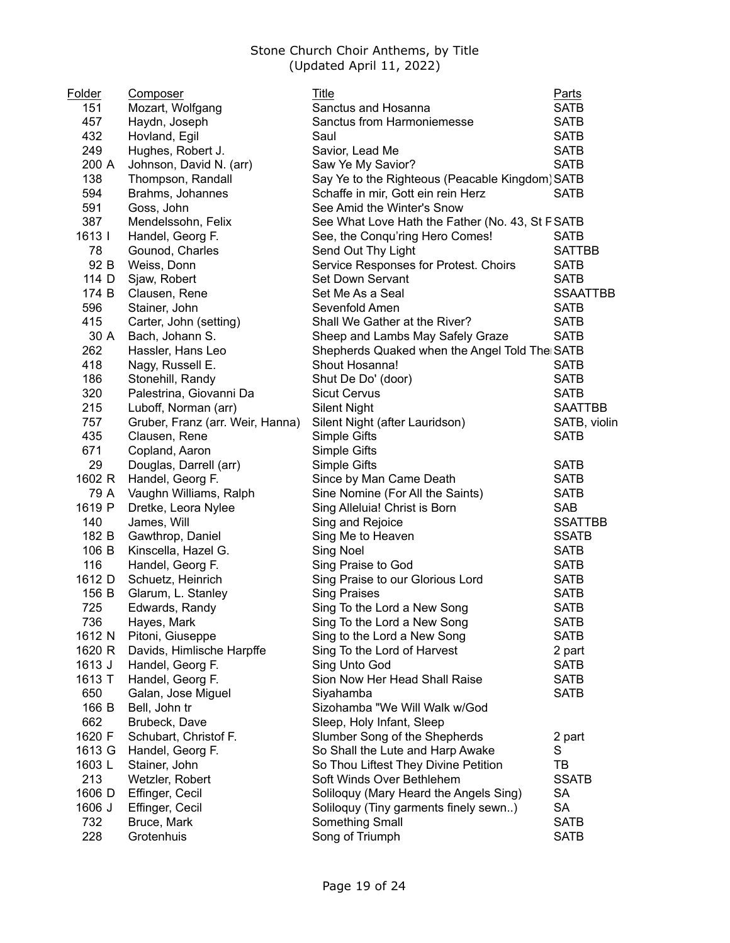| Folder | <b>Composer</b>                  | Title                                           | <b>Parts</b>    |
|--------|----------------------------------|-------------------------------------------------|-----------------|
| 151    | Mozart, Wolfgang                 | Sanctus and Hosanna                             | <b>SATB</b>     |
| 457    | Haydn, Joseph                    | Sanctus from Harmoniemesse                      | <b>SATB</b>     |
| 432    | Hovland, Egil                    | Saul                                            | <b>SATB</b>     |
| 249    | Hughes, Robert J.                | Savior, Lead Me                                 | <b>SATB</b>     |
| 200 A  | Johnson, David N. (arr)          | Saw Ye My Savior?                               | <b>SATB</b>     |
| 138    | Thompson, Randall                | Say Ye to the Righteous (Peacable Kingdom) SATB |                 |
| 594    | Brahms, Johannes                 | Schaffe in mir, Gott ein rein Herz              | <b>SATB</b>     |
| 591    | Goss, John                       | See Amid the Winter's Snow                      |                 |
| 387    | Mendelssohn, Felix               | See What Love Hath the Father (No. 43, St FSATB |                 |
| 1613   | Handel, Georg F.                 | See, the Conqu'ring Hero Comes!                 | <b>SATB</b>     |
| 78     | Gounod, Charles                  | Send Out Thy Light                              | <b>SATTBB</b>   |
| 92 B   | Weiss, Donn                      | Service Responses for Protest. Choirs           | <b>SATB</b>     |
| 114 D  | Sjaw, Robert                     | Set Down Servant                                | <b>SATB</b>     |
| 174 B  | Clausen, Rene                    | Set Me As a Seal                                | <b>SSAATTBB</b> |
| 596    | Stainer, John                    | Sevenfold Amen                                  | <b>SATB</b>     |
| 415    | Carter, John (setting)           | Shall We Gather at the River?                   | <b>SATB</b>     |
| 30 A   | Bach, Johann S.                  | Sheep and Lambs May Safely Graze                | <b>SATB</b>     |
| 262    | Hassler, Hans Leo                | Shepherds Quaked when the Angel Told The SATB   |                 |
| 418    | Nagy, Russell E.                 | Shout Hosanna!                                  | <b>SATB</b>     |
| 186    | Stonehill, Randy                 | Shut De Do' (door)                              | <b>SATB</b>     |
| 320    | Palestrina, Giovanni Da          | <b>Sicut Cervus</b>                             | <b>SATB</b>     |
| 215    | Luboff, Norman (arr)             | <b>Silent Night</b>                             | <b>SAATTBB</b>  |
| 757    | Gruber, Franz (arr. Weir, Hanna) | Silent Night (after Lauridson)                  | SATB, violin    |
| 435    | Clausen, Rene                    | Simple Gifts                                    | <b>SATB</b>     |
| 671    | Copland, Aaron                   | Simple Gifts                                    |                 |
| 29     | Douglas, Darrell (arr)           | Simple Gifts                                    | <b>SATB</b>     |
| 1602 R | Handel, Georg F.                 | Since by Man Came Death                         | <b>SATB</b>     |
| 79 A   | Vaughn Williams, Ralph           | Sine Nomine (For All the Saints)                | <b>SATB</b>     |
| 1619 P | Dretke, Leora Nylee              | Sing Alleluia! Christ is Born                   | <b>SAB</b>      |
| 140    | James, Will                      | Sing and Rejoice                                | <b>SSATTBB</b>  |
| 182 B  | Gawthrop, Daniel                 | Sing Me to Heaven                               | <b>SSATB</b>    |
| 106 B  | Kinscella, Hazel G.              | Sing Noel                                       | <b>SATB</b>     |
| 116    | Handel, Georg F.                 | Sing Praise to God                              | <b>SATB</b>     |
| 1612 D | Schuetz, Heinrich                | Sing Praise to our Glorious Lord                | <b>SATB</b>     |
| 156 B  | Glarum, L. Stanley               | <b>Sing Praises</b>                             | <b>SATB</b>     |
| 725    | Edwards, Randy                   | Sing To the Lord a New Song                     | <b>SATB</b>     |
| 736    | Hayes, Mark                      | Sing To the Lord a New Song                     | <b>SATB</b>     |
| 1612 N | Pitoni, Giuseppe                 | Sing to the Lord a New Song                     | <b>SATB</b>     |
| 1620 R | Davids, Himlische Harpffe        | Sing To the Lord of Harvest                     | 2 part          |
| 1613 J | Handel, Georg F.                 | Sing Unto God                                   | <b>SATB</b>     |
| 1613 T | Handel, Georg F.                 | Sion Now Her Head Shall Raise                   | <b>SATB</b>     |
| 650    | Galan, Jose Miguel               | Siyahamba                                       | <b>SATB</b>     |
| 166 B  | Bell, John tr                    | Sizohamba "We Will Walk w/God                   |                 |
| 662    | Brubeck, Dave                    | Sleep, Holy Infant, Sleep                       |                 |
| 1620 F | Schubart, Christof F.            | Slumber Song of the Shepherds                   | 2 part          |
| 1613 G | Handel, Georg F.                 | So Shall the Lute and Harp Awake                | S               |
| 1603L  | Stainer, John                    | So Thou Liftest They Divine Petition            | TB              |
| 213    | Wetzler, Robert                  | Soft Winds Over Bethlehem                       | <b>SSATB</b>    |
| 1606 D | Effinger, Cecil                  | Soliloquy (Mary Heard the Angels Sing)          | <b>SA</b>       |
| 1606 J | Effinger, Cecil                  | Soliloquy (Tiny garments finely sewn)           | <b>SA</b>       |
| 732    | Bruce, Mark                      | Something Small                                 | <b>SATB</b>     |
| 228    | Grotenhuis                       | Song of Triumph                                 | <b>SATB</b>     |
|        |                                  |                                                 |                 |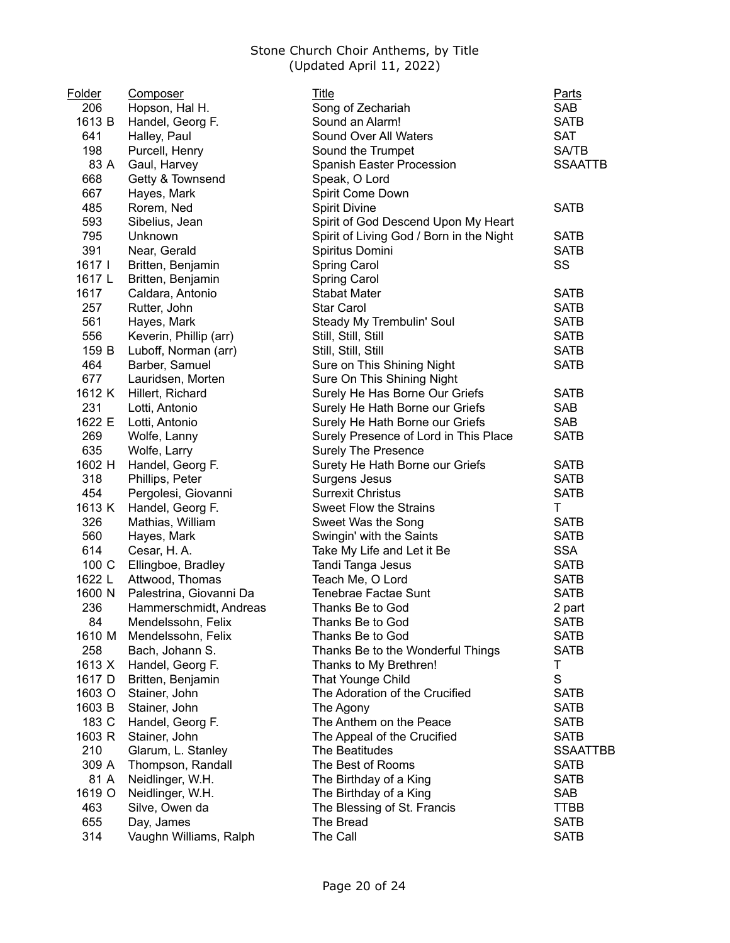| <b>Folder</b> | Composer                | Title                                    | <b>Parts</b>    |
|---------------|-------------------------|------------------------------------------|-----------------|
| 206           | Hopson, Hal H.          | Song of Zechariah                        | <b>SAB</b>      |
| 1613 B        | Handel, Georg F.        | Sound an Alarm!                          | <b>SATB</b>     |
| 641           | Halley, Paul            | Sound Over All Waters                    | <b>SAT</b>      |
| 198           | Purcell, Henry          | Sound the Trumpet                        | <b>SA/TB</b>    |
| 83 A          | Gaul, Harvey            | Spanish Easter Procession                | <b>SSAATTB</b>  |
| 668           | Getty & Townsend        | Speak, O Lord                            |                 |
| 667           | Hayes, Mark             | Spirit Come Down                         |                 |
| 485           | Rorem, Ned              | <b>Spirit Divine</b>                     | <b>SATB</b>     |
| 593           | Sibelius, Jean          | Spirit of God Descend Upon My Heart      |                 |
| 795           | Unknown                 | Spirit of Living God / Born in the Night | <b>SATB</b>     |
| 391           | Near, Gerald            | Spiritus Domini                          | <b>SATB</b>     |
| 1617 I        | Britten, Benjamin       | <b>Spring Carol</b>                      | SS              |
| 1617 L        | Britten, Benjamin       | Spring Carol                             |                 |
| 1617          | Caldara, Antonio        | <b>Stabat Mater</b>                      | <b>SATB</b>     |
| 257           | Rutter, John            | <b>Star Carol</b>                        | <b>SATB</b>     |
| 561           | Hayes, Mark             | Steady My Trembulin' Soul                | <b>SATB</b>     |
| 556           | Keverin, Phillip (arr)  | Still, Still, Still                      | <b>SATB</b>     |
| 159 B         | Luboff, Norman (arr)    | Still, Still, Still                      | <b>SATB</b>     |
| 464           | Barber, Samuel          | Sure on This Shining Night               | <b>SATB</b>     |
| 677           | Lauridsen, Morten       | Sure On This Shining Night               |                 |
| 1612 K        | Hillert, Richard        | Surely He Has Borne Our Griefs           | <b>SATB</b>     |
| 231           | Lotti, Antonio          | Surely He Hath Borne our Griefs          | <b>SAB</b>      |
| 1622 E        | Lotti, Antonio          | Surely He Hath Borne our Griefs          | <b>SAB</b>      |
| 269           | Wolfe, Lanny            | Surely Presence of Lord in This Place    | <b>SATB</b>     |
| 635           | Wolfe, Larry            | <b>Surely The Presence</b>               |                 |
| 1602 H        | Handel, Georg F.        | Surety He Hath Borne our Griefs          | <b>SATB</b>     |
| 318           | Phillips, Peter         | Surgens Jesus                            | <b>SATB</b>     |
| 454           | Pergolesi, Giovanni     | <b>Surrexit Christus</b>                 | <b>SATB</b>     |
| 1613 K        | Handel, Georg F.        | <b>Sweet Flow the Strains</b>            | T               |
| 326           | Mathias, William        | Sweet Was the Song                       | <b>SATB</b>     |
| 560           | Hayes, Mark             | Swingin' with the Saints                 | <b>SATB</b>     |
| 614           | Cesar, H.A.             | Take My Life and Let it Be               | <b>SSA</b>      |
| 100 C         | Ellingboe, Bradley      | Tandi Tanga Jesus                        | <b>SATB</b>     |
| 1622 L        | Attwood, Thomas         | Teach Me, O Lord                         | <b>SATB</b>     |
| 1600 N        | Palestrina, Giovanni Da | Tenebrae Factae Sunt                     | <b>SATB</b>     |
| 236           | Hammerschmidt, Andreas  | Thanks Be to God                         | 2 part          |
| 84            | Mendelssohn, Felix      | Thanks Be to God                         | <b>SATB</b>     |
| 1610 M        | Mendelssohn, Felix      | Thanks Be to God                         | <b>SATB</b>     |
| 258           | Bach, Johann S.         | Thanks Be to the Wonderful Things        | <b>SATB</b>     |
| 1613 X        | Handel, Georg F.        | Thanks to My Brethren!                   | Τ               |
| 1617 D        | Britten, Benjamin       | That Younge Child                        | $\mathbf S$     |
| 1603 O        | Stainer, John           | The Adoration of the Crucified           | <b>SATB</b>     |
| 1603 B        | Stainer, John           | The Agony                                | <b>SATB</b>     |
| 183 C         | Handel, Georg F.        | The Anthem on the Peace                  | <b>SATB</b>     |
| 1603 R        | Stainer, John           | The Appeal of the Crucified              | <b>SATB</b>     |
| 210           | Glarum, L. Stanley      | The Beatitudes                           | <b>SSAATTBB</b> |
| 309 A         | Thompson, Randall       | The Best of Rooms                        | <b>SATB</b>     |
| 81 A          | Neidlinger, W.H.        | The Birthday of a King                   | <b>SATB</b>     |
| 1619 O        | Neidlinger, W.H.        | The Birthday of a King                   | SAB             |
| 463           | Silve, Owen da          | The Blessing of St. Francis              | TTBB            |
| 655           | Day, James              | The Bread                                | <b>SATB</b>     |
| 314           | Vaughn Williams, Ralph  | The Call                                 | <b>SATB</b>     |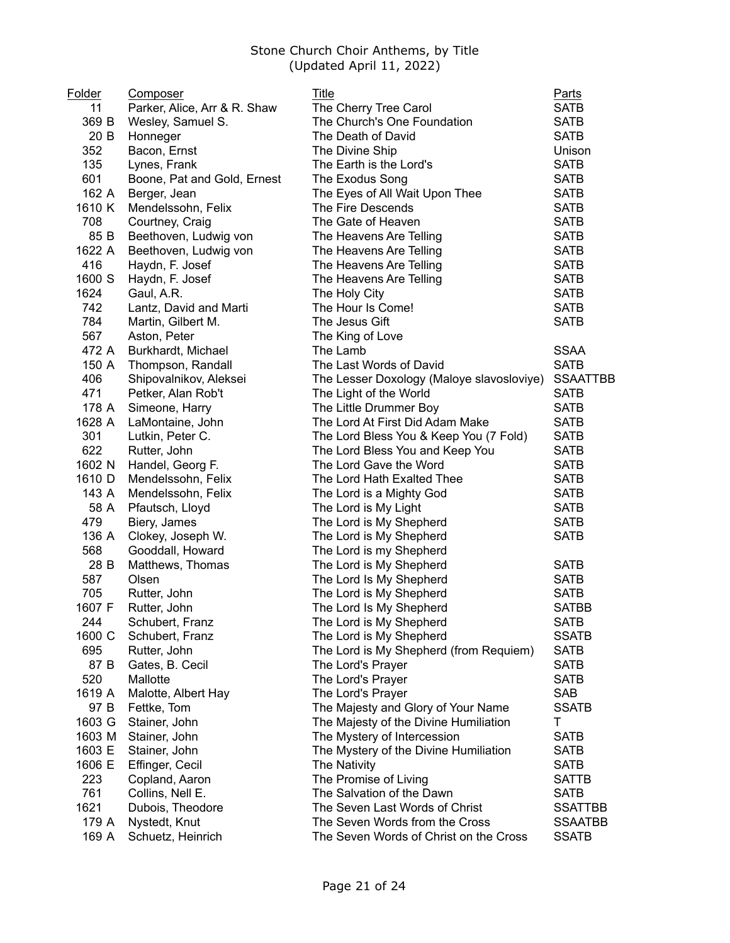| Folder | <b>Composer</b>              | Title                                     | Parts           |
|--------|------------------------------|-------------------------------------------|-----------------|
| 11     | Parker, Alice, Arr & R. Shaw | The Cherry Tree Carol                     | <b>SATB</b>     |
| 369 B  | Wesley, Samuel S.            | The Church's One Foundation               | <b>SATB</b>     |
| 20 B   | Honneger                     | The Death of David                        | <b>SATB</b>     |
| 352    | Bacon, Ernst                 | The Divine Ship                           | Unison          |
| 135    | Lynes, Frank                 | The Earth is the Lord's                   | <b>SATB</b>     |
| 601    | Boone, Pat and Gold, Ernest  | The Exodus Song                           | <b>SATB</b>     |
| 162 A  | Berger, Jean                 | The Eyes of All Wait Upon Thee            | <b>SATB</b>     |
| 1610 K | Mendelssohn, Felix           | The Fire Descends                         | <b>SATB</b>     |
| 708    | Courtney, Craig              | The Gate of Heaven                        | <b>SATB</b>     |
| 85 B   | Beethoven, Ludwig von        | The Heavens Are Telling                   | <b>SATB</b>     |
| 1622 A | Beethoven, Ludwig von        | The Heavens Are Telling                   | <b>SATB</b>     |
| 416    | Haydn, F. Josef              | The Heavens Are Telling                   | <b>SATB</b>     |
| 1600 S | Haydn, F. Josef              | The Heavens Are Telling                   | <b>SATB</b>     |
| 1624   | Gaul, A.R.                   | The Holy City                             | <b>SATB</b>     |
| 742    | Lantz, David and Marti       | The Hour Is Come!                         | <b>SATB</b>     |
| 784    | Martin, Gilbert M.           | The Jesus Gift                            | <b>SATB</b>     |
| 567    | Aston, Peter                 | The King of Love                          |                 |
| 472 A  | Burkhardt, Michael           | The Lamb                                  | <b>SSAA</b>     |
| 150 A  | Thompson, Randall            | The Last Words of David                   | <b>SATB</b>     |
| 406    | Shipovalnikov, Aleksei       | The Lesser Doxology (Maloye slavosloviye) | <b>SSAATTBB</b> |
| 471    | Petker, Alan Rob't           | The Light of the World                    | <b>SATB</b>     |
| 178 A  | Simeone, Harry               | The Little Drummer Boy                    | <b>SATB</b>     |
| 1628 A |                              | The Lord At First Did Adam Make           | <b>SATB</b>     |
|        | LaMontaine, John             |                                           |                 |
| 301    | Lutkin, Peter C.             | The Lord Bless You & Keep You (7 Fold)    | <b>SATB</b>     |
| 622    | Rutter, John                 | The Lord Bless You and Keep You           | <b>SATB</b>     |
| 1602 N | Handel, Georg F.             | The Lord Gave the Word                    | <b>SATB</b>     |
| 1610 D | Mendelssohn, Felix           | The Lord Hath Exalted Thee                | <b>SATB</b>     |
| 143 A  | Mendelssohn, Felix           | The Lord is a Mighty God                  | <b>SATB</b>     |
| 58 A   | Pfautsch, Lloyd              | The Lord is My Light                      | <b>SATB</b>     |
| 479    | Biery, James                 | The Lord is My Shepherd                   | <b>SATB</b>     |
| 136 A  | Clokey, Joseph W.            | The Lord is My Shepherd                   | <b>SATB</b>     |
| 568    | Gooddall, Howard             | The Lord is my Shepherd                   |                 |
| 28 B   | Matthews, Thomas             | The Lord is My Shepherd                   | <b>SATB</b>     |
| 587    | Olsen                        | The Lord Is My Shepherd                   | <b>SATB</b>     |
| 705    | Rutter, John                 | The Lord is My Shepherd                   | <b>SATB</b>     |
| 1607 F | Rutter, John                 | The Lord Is My Shepherd                   | <b>SATBB</b>    |
| 244    | Schubert, Franz              | The Lord is My Shepherd                   | <b>SATB</b>     |
| 1600 C | Schubert, Franz              | The Lord is My Shepherd                   | <b>SSATB</b>    |
| 695    | Rutter, John                 | The Lord is My Shepherd (from Requiem)    | <b>SATB</b>     |
| 87 B   | Gates, B. Cecil              | The Lord's Prayer                         | <b>SATB</b>     |
| 520    | Mallotte                     | The Lord's Prayer                         | <b>SATB</b>     |
| 1619 A | Malotte, Albert Hay          | The Lord's Prayer                         | <b>SAB</b>      |
| 97 B   | Fettke, Tom                  | The Majesty and Glory of Your Name        | <b>SSATB</b>    |
| 1603 G | Stainer, John                | The Majesty of the Divine Humiliation     | т               |
| 1603 M | Stainer, John                | The Mystery of Intercession               | <b>SATB</b>     |
| 1603 E | Stainer, John                | The Mystery of the Divine Humiliation     | <b>SATB</b>     |
| 1606 E | Effinger, Cecil              | The Nativity                              | <b>SATB</b>     |
| 223    | Copland, Aaron               | The Promise of Living                     | <b>SATTB</b>    |
| 761    | Collins, Nell E.             | The Salvation of the Dawn                 | <b>SATB</b>     |
| 1621   | Dubois, Theodore             | The Seven Last Words of Christ            | <b>SSATTBB</b>  |
| 179 A  | Nystedt, Knut                | The Seven Words from the Cross            | <b>SSAATBB</b>  |
| 169 A  | Schuetz, Heinrich            | The Seven Words of Christ on the Cross    | <b>SSATB</b>    |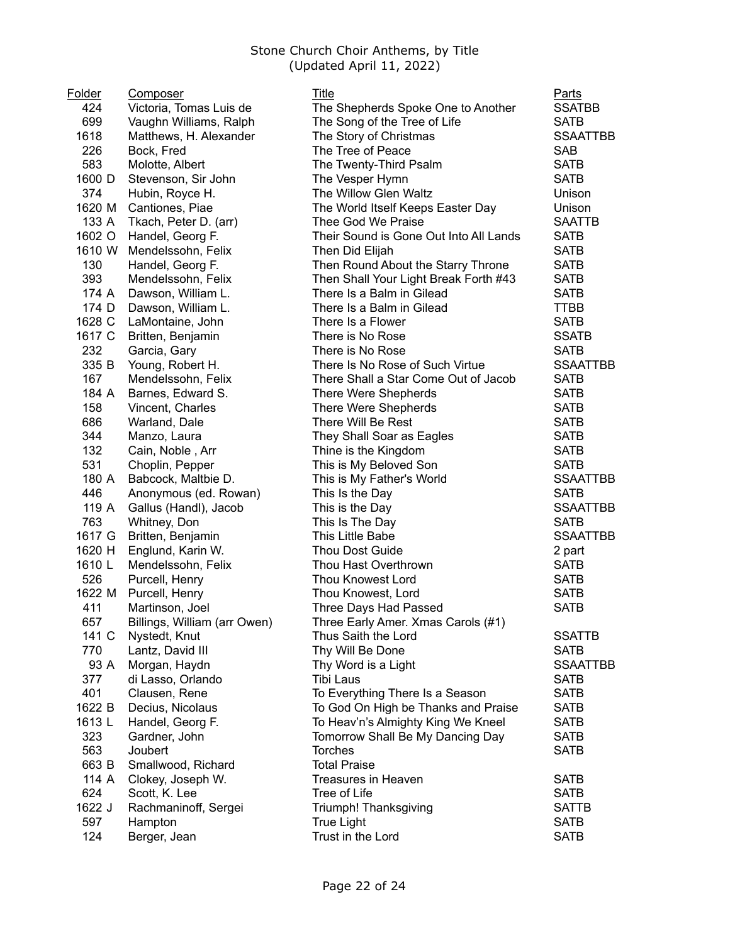| Folder | <b>Composer</b>              | Title                                  | Parts           |
|--------|------------------------------|----------------------------------------|-----------------|
| 424    | Victoria, Tomas Luis de      | The Shepherds Spoke One to Another     | <b>SSATBB</b>   |
| 699    | Vaughn Williams, Ralph       | The Song of the Tree of Life           | <b>SATB</b>     |
| 1618   | Matthews, H. Alexander       | The Story of Christmas                 | <b>SSAATTBB</b> |
| 226    | Bock, Fred                   | The Tree of Peace                      | <b>SAB</b>      |
| 583    | Molotte, Albert              | The Twenty-Third Psalm                 | <b>SATB</b>     |
| 1600 D | Stevenson, Sir John          | The Vesper Hymn                        | <b>SATB</b>     |
| 374    | Hubin, Royce H.              | The Willow Glen Waltz                  | Unison          |
| 1620 M | Cantiones, Piae              | The World Itself Keeps Easter Day      | Unison          |
| 133 A  | Tkach, Peter D. (arr)        | Thee God We Praise                     | <b>SAATTB</b>   |
| 1602 O | Handel, Georg F.             | Their Sound is Gone Out Into All Lands | <b>SATB</b>     |
| 1610 W | Mendelssohn, Felix           | Then Did Elijah                        | <b>SATB</b>     |
| 130    | Handel, Georg F.             | Then Round About the Starry Throne     | <b>SATB</b>     |
| 393    | Mendelssohn, Felix           | Then Shall Your Light Break Forth #43  | <b>SATB</b>     |
| 174 A  | Dawson, William L.           | There Is a Balm in Gilead              | <b>SATB</b>     |
| 174 D  | Dawson, William L.           | There Is a Balm in Gilead              | TTBB            |
| 1628 C | LaMontaine, John             | There Is a Flower                      | <b>SATB</b>     |
| 1617 C | Britten, Benjamin            | There is No Rose                       | <b>SSATB</b>    |
| 232    | Garcia, Gary                 | There is No Rose                       | <b>SATB</b>     |
| 335 B  | Young, Robert H.             | There Is No Rose of Such Virtue        | <b>SSAATTBB</b> |
| 167    | Mendelssohn, Felix           | There Shall a Star Come Out of Jacob   | <b>SATB</b>     |
| 184 A  | Barnes, Edward S.            | There Were Shepherds                   | <b>SATB</b>     |
| 158    | Vincent, Charles             | There Were Shepherds                   | <b>SATB</b>     |
| 686    | Warland, Dale                | There Will Be Rest                     | <b>SATB</b>     |
| 344    | Manzo, Laura                 | They Shall Soar as Eagles              | <b>SATB</b>     |
| 132    | Cain, Noble, Arr             | Thine is the Kingdom                   | <b>SATB</b>     |
| 531    | Choplin, Pepper              | This is My Beloved Son                 | <b>SATB</b>     |
| 180 A  | Babcock, Maltbie D.          | This is My Father's World              | <b>SSAATTBB</b> |
| 446    | Anonymous (ed. Rowan)        | This Is the Day                        | <b>SATB</b>     |
| 119 A  | Gallus (Handl), Jacob        | This is the Day                        | <b>SSAATTBB</b> |
| 763    | Whitney, Don                 | This Is The Day                        | <b>SATB</b>     |
| 1617 G | Britten, Benjamin            | This Little Babe                       | <b>SSAATTBB</b> |
| 1620 H | Englund, Karin W.            | Thou Dost Guide                        | 2 part          |
| 1610L  | Mendelssohn, Felix           | Thou Hast Overthrown                   | <b>SATB</b>     |
| 526    | Purcell, Henry               | <b>Thou Knowest Lord</b>               | <b>SATB</b>     |
| 1622 M | Purcell, Henry               | Thou Knowest, Lord                     | <b>SATB</b>     |
| 411    | Martinson, Joel              | Three Days Had Passed                  | <b>SATB</b>     |
| 657    | Billings, William (arr Owen) | Three Early Amer. Xmas Carols (#1)     |                 |
| 141 C  | Nystedt, Knut                | Thus Saith the Lord                    | <b>SSATTB</b>   |
| 770    | Lantz, David III             | Thy Will Be Done                       | <b>SATB</b>     |
| 93 A   | Morgan, Haydn                | Thy Word is a Light                    | <b>SSAATTBB</b> |
| 377    | di Lasso, Orlando            | Tibi Laus                              | <b>SATB</b>     |
| 401    | Clausen, Rene                | To Everything There Is a Season        | <b>SATB</b>     |
| 1622 B | Decius, Nicolaus             | To God On High be Thanks and Praise    | <b>SATB</b>     |
| 1613L  | Handel, Georg F.             | To Heav'n's Almighty King We Kneel     | <b>SATB</b>     |
| 323    | Gardner, John                | Tomorrow Shall Be My Dancing Day       | <b>SATB</b>     |
| 563    | <b>Joubert</b>               | <b>Torches</b>                         | <b>SATB</b>     |
| 663 B  | Smallwood, Richard           | <b>Total Praise</b>                    |                 |
| 114 A  | Clokey, Joseph W.            | Treasures in Heaven                    | <b>SATB</b>     |
| 624    | Scott, K. Lee                | Tree of Life                           | <b>SATB</b>     |
| 1622 J | Rachmaninoff, Sergei         | Triumph! Thanksgiving                  | <b>SATTB</b>    |
| 597    | Hampton                      | <b>True Light</b>                      | <b>SATB</b>     |
| 124    | Berger, Jean                 | Trust in the Lord                      | <b>SATB</b>     |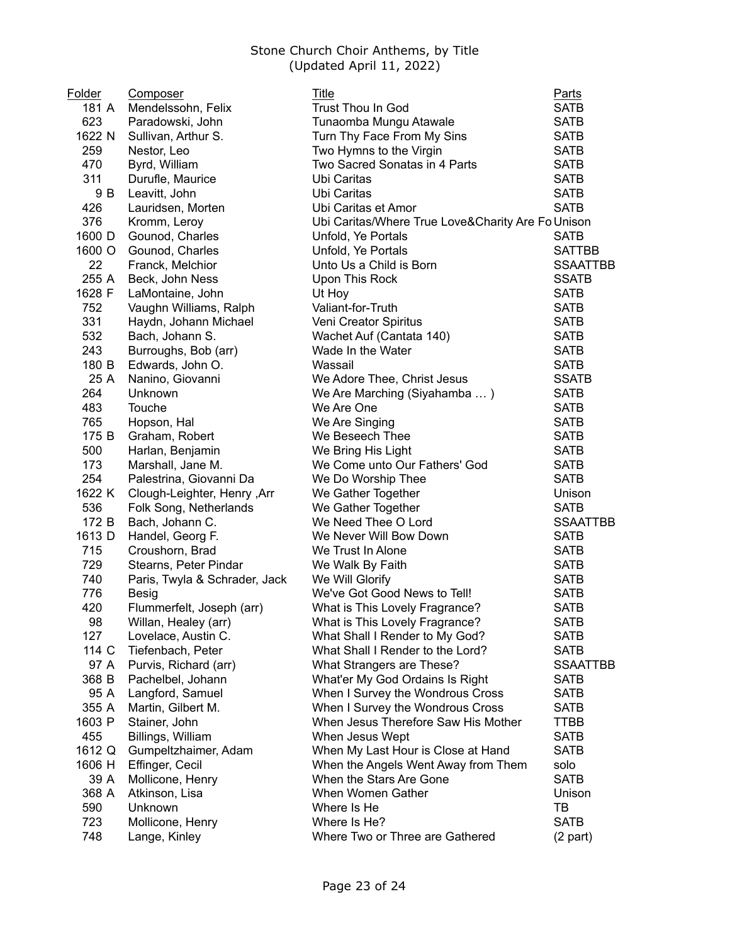| Folder | Composer                      | Title                                             | <b>Parts</b>    |
|--------|-------------------------------|---------------------------------------------------|-----------------|
| 181 A  | Mendelssohn, Felix            | Trust Thou In God                                 | <b>SATB</b>     |
| 623    | Paradowski, John              | Tunaomba Mungu Atawale                            | <b>SATB</b>     |
| 1622 N | Sullivan, Arthur S.           | Turn Thy Face From My Sins                        | <b>SATB</b>     |
| 259    | Nestor, Leo                   | Two Hymns to the Virgin                           | <b>SATB</b>     |
| 470    | Byrd, William                 | Two Sacred Sonatas in 4 Parts                     | <b>SATB</b>     |
| 311    | Durufle, Maurice              | Ubi Caritas                                       | <b>SATB</b>     |
| 9 B    | Leavitt, John                 | Ubi Caritas                                       | <b>SATB</b>     |
| 426    | Lauridsen, Morten             | Ubi Caritas et Amor                               | <b>SATB</b>     |
| 376    | Kromm, Leroy                  | Ubi Caritas/Where True Love&Charity Are Fo Unison |                 |
| 1600 D | Gounod, Charles               | Unfold, Ye Portals                                | <b>SATB</b>     |
| 1600 O | Gounod, Charles               | Unfold, Ye Portals                                | <b>SATTBB</b>   |
| 22     | Franck, Melchior              | Unto Us a Child is Born                           | <b>SSAATTBB</b> |
| 255 A  | Beck, John Ness               | Upon This Rock                                    | <b>SSATB</b>    |
| 1628 F | LaMontaine, John              | Ut Hoy                                            | <b>SATB</b>     |
| 752    | Vaughn Williams, Ralph        | Valiant-for-Truth                                 | <b>SATB</b>     |
| 331    | Haydn, Johann Michael         | Veni Creator Spiritus                             | <b>SATB</b>     |
| 532    | Bach, Johann S.               | Wachet Auf (Cantata 140)                          | <b>SATB</b>     |
| 243    | Burroughs, Bob (arr)          | Wade In the Water                                 | <b>SATB</b>     |
| 180 B  | Edwards, John O.              | Wassail                                           | <b>SATB</b>     |
| 25 A   | Nanino, Giovanni              | We Adore Thee, Christ Jesus                       | <b>SSATB</b>    |
| 264    | Unknown                       | We Are Marching (Siyahamba )                      | <b>SATB</b>     |
| 483    | Touche                        | We Are One                                        | <b>SATB</b>     |
| 765    | Hopson, Hal                   | We Are Singing                                    | <b>SATB</b>     |
| 175 B  | Graham, Robert                | We Beseech Thee                                   | <b>SATB</b>     |
| 500    | Harlan, Benjamin              | We Bring His Light                                | <b>SATB</b>     |
| 173    | Marshall, Jane M.             | We Come unto Our Fathers' God                     | <b>SATB</b>     |
| 254    | Palestrina, Giovanni Da       | We Do Worship Thee                                | <b>SATB</b>     |
| 1622 K | Clough-Leighter, Henry, Arr   | We Gather Together                                | Unison          |
| 536    | Folk Song, Netherlands        | We Gather Together                                | <b>SATB</b>     |
| 172 B  | Bach, Johann C.               | We Need Thee O Lord                               | <b>SSAATTBB</b> |
| 1613 D | Handel, Georg F.              | We Never Will Bow Down                            | <b>SATB</b>     |
| 715    | Croushorn, Brad               | We Trust In Alone                                 | <b>SATB</b>     |
| 729    | Stearns, Peter Pindar         | We Walk By Faith                                  | <b>SATB</b>     |
| 740    | Paris, Twyla & Schrader, Jack | We Will Glorify                                   | <b>SATB</b>     |
| 776    | Besig                         | We've Got Good News to Tell!                      | <b>SATB</b>     |
| 420    | Flummerfelt, Joseph (arr)     | What is This Lovely Fragrance?                    | <b>SATB</b>     |
| 98     | Willan, Healey (arr)          | What is This Lovely Fragrance?                    | SATB            |
| 127    | Lovelace, Austin C.           | What Shall I Render to My God?                    | <b>SATB</b>     |
| 114 C  | Tiefenbach, Peter             | What Shall I Render to the Lord?                  | <b>SATB</b>     |
| 97 A   | Purvis, Richard (arr)         | What Strangers are These?                         | <b>SSAATTBB</b> |
| 368 B  | Pachelbel, Johann             | What'er My God Ordains Is Right                   | <b>SATB</b>     |
| 95 A   | Langford, Samuel              | When I Survey the Wondrous Cross                  | <b>SATB</b>     |
| 355 A  | Martin, Gilbert M.            | When I Survey the Wondrous Cross                  | <b>SATB</b>     |
| 1603 P | Stainer, John                 | When Jesus Therefore Saw His Mother               | <b>TTBB</b>     |
| 455    | Billings, William             | When Jesus Wept                                   | <b>SATB</b>     |
| 1612 Q | Gumpeltzhaimer, Adam          | When My Last Hour is Close at Hand                | <b>SATB</b>     |
| 1606 H | Effinger, Cecil               | When the Angels Went Away from Them               | solo            |
| 39 A   | Mollicone, Henry              | When the Stars Are Gone                           | <b>SATB</b>     |
| 368 A  | Atkinson, Lisa                | When Women Gather                                 | Unison          |
| 590    | Unknown                       | Where Is He                                       | TB              |
| 723    | Mollicone, Henry              | Where Is He?                                      | <b>SATB</b>     |
| 748    | Lange, Kinley                 | Where Two or Three are Gathered                   | $(2$ part)      |